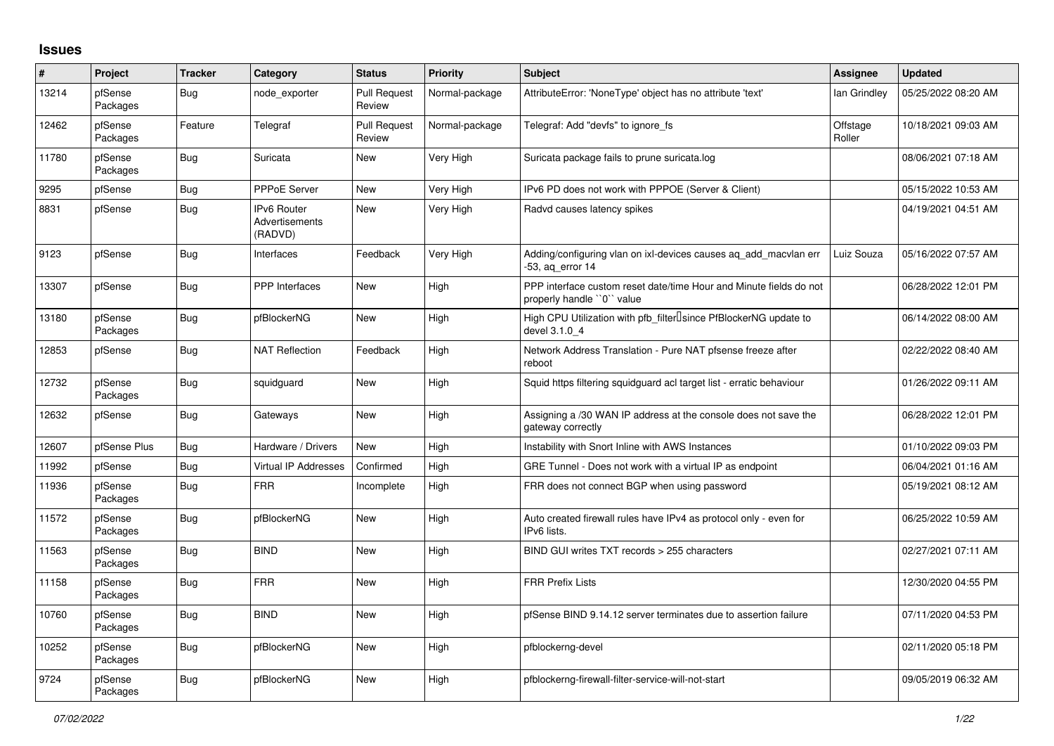## **Issues**

| #     | Project             | <b>Tracker</b> | Category                                        | <b>Status</b>                 | <b>Priority</b> | <b>Subject</b>                                                                                  | <b>Assignee</b>    | <b>Updated</b>      |
|-------|---------------------|----------------|-------------------------------------------------|-------------------------------|-----------------|-------------------------------------------------------------------------------------------------|--------------------|---------------------|
| 13214 | pfSense<br>Packages | Bug            | node exporter                                   | <b>Pull Request</b><br>Review | Normal-package  | AttributeError: 'NoneType' object has no attribute 'text'                                       | lan Grindley       | 05/25/2022 08:20 AM |
| 12462 | pfSense<br>Packages | Feature        | Telegraf                                        | <b>Pull Request</b><br>Review | Normal-package  | Telegraf: Add "devfs" to ignore fs                                                              | Offstage<br>Roller | 10/18/2021 09:03 AM |
| 11780 | pfSense<br>Packages | Bug            | Suricata                                        | <b>New</b>                    | Very High       | Suricata package fails to prune suricata.log                                                    |                    | 08/06/2021 07:18 AM |
| 9295  | pfSense             | <b>Bug</b>     | PPPoE Server                                    | <b>New</b>                    | Very High       | IPv6 PD does not work with PPPOE (Server & Client)                                              |                    | 05/15/2022 10:53 AM |
| 8831  | pfSense             | Bug            | IPv6 Router<br><b>Advertisements</b><br>(RADVD) | <b>New</b>                    | Very High       | Radvd causes latency spikes                                                                     |                    | 04/19/2021 04:51 AM |
| 9123  | pfSense             | Bug            | Interfaces                                      | Feedback                      | Very High       | Adding/configuring vlan on ixl-devices causes ag add macvlan err<br>-53, aq_error 14            | Luiz Souza         | 05/16/2022 07:57 AM |
| 13307 | pfSense             | <b>Bug</b>     | <b>PPP</b> Interfaces                           | New                           | High            | PPP interface custom reset date/time Hour and Minute fields do not<br>properly handle "0" value |                    | 06/28/2022 12:01 PM |
| 13180 | pfSense<br>Packages | <b>Bug</b>     | pfBlockerNG                                     | <b>New</b>                    | High            | High CPU Utilization with pfb_filter <sup>[]</sup> since PfBlockerNG update to<br>devel 3.1.0 4 |                    | 06/14/2022 08:00 AM |
| 12853 | pfSense             | Bug            | <b>NAT Reflection</b>                           | Feedback                      | High            | Network Address Translation - Pure NAT pfsense freeze after<br>reboot                           |                    | 02/22/2022 08:40 AM |
| 12732 | pfSense<br>Packages | Bug            | squidguard                                      | <b>New</b>                    | High            | Squid https filtering squidguard acl target list - erratic behaviour                            |                    | 01/26/2022 09:11 AM |
| 12632 | pfSense             | <b>Bug</b>     | Gateways                                        | <b>New</b>                    | High            | Assigning a /30 WAN IP address at the console does not save the<br>gateway correctly            |                    | 06/28/2022 12:01 PM |
| 12607 | pfSense Plus        | Bug            | Hardware / Drivers                              | <b>New</b>                    | High            | Instability with Snort Inline with AWS Instances                                                |                    | 01/10/2022 09:03 PM |
| 11992 | pfSense             | Bug            | Virtual IP Addresses                            | Confirmed                     | High            | GRE Tunnel - Does not work with a virtual IP as endpoint                                        |                    | 06/04/2021 01:16 AM |
| 11936 | pfSense<br>Packages | <b>Bug</b>     | <b>FRR</b>                                      | Incomplete                    | High            | FRR does not connect BGP when using password                                                    |                    | 05/19/2021 08:12 AM |
| 11572 | pfSense<br>Packages | <b>Bug</b>     | pfBlockerNG                                     | <b>New</b>                    | High            | Auto created firewall rules have IPv4 as protocol only - even for<br>IPv6 lists.                |                    | 06/25/2022 10:59 AM |
| 11563 | pfSense<br>Packages | <b>Bug</b>     | <b>BIND</b>                                     | <b>New</b>                    | High            | BIND GUI writes TXT records > 255 characters                                                    |                    | 02/27/2021 07:11 AM |
| 11158 | pfSense<br>Packages | Bug            | <b>FRR</b>                                      | <b>New</b>                    | High            | <b>FRR Prefix Lists</b>                                                                         |                    | 12/30/2020 04:55 PM |
| 10760 | pfSense<br>Packages | Bug            | <b>BIND</b>                                     | <b>New</b>                    | High            | pfSense BIND 9.14.12 server terminates due to assertion failure                                 |                    | 07/11/2020 04:53 PM |
| 10252 | pfSense<br>Packages | <b>Bug</b>     | pfBlockerNG                                     | <b>New</b>                    | High            | pfblockerng-devel                                                                               |                    | 02/11/2020 05:18 PM |
| 9724  | pfSense<br>Packages | <b>Bug</b>     | pfBlockerNG                                     | <b>New</b>                    | High            | pfblockerng-firewall-filter-service-will-not-start                                              |                    | 09/05/2019 06:32 AM |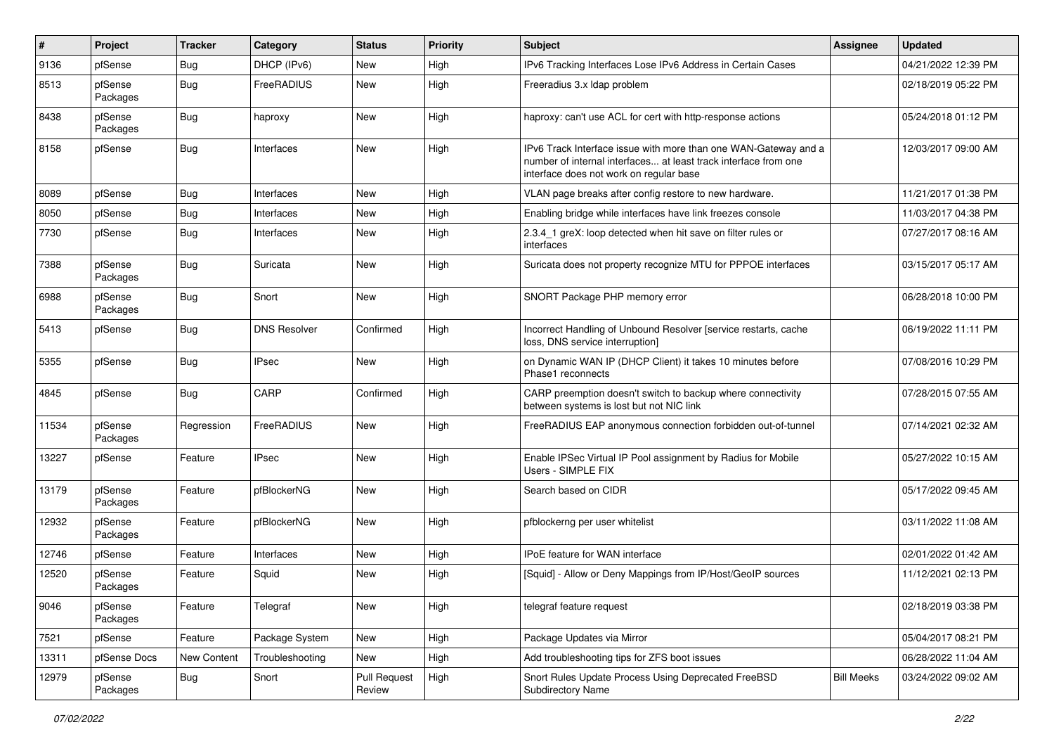| ∦     | Project             | Tracker     | Category            | <b>Status</b>          | Priority | Subject                                                                                                                                                                       | <b>Assignee</b>   | <b>Updated</b>      |
|-------|---------------------|-------------|---------------------|------------------------|----------|-------------------------------------------------------------------------------------------------------------------------------------------------------------------------------|-------------------|---------------------|
| 9136  | pfSense             | <b>Bug</b>  | DHCP (IPv6)         | <b>New</b>             | High     | IPv6 Tracking Interfaces Lose IPv6 Address in Certain Cases                                                                                                                   |                   | 04/21/2022 12:39 PM |
| 8513  | pfSense<br>Packages | <b>Bug</b>  | FreeRADIUS          | <b>New</b>             | High     | Freeradius 3.x Idap problem                                                                                                                                                   |                   | 02/18/2019 05:22 PM |
| 8438  | pfSense<br>Packages | Bug         | haproxy             | <b>New</b>             | High     | haproxy: can't use ACL for cert with http-response actions                                                                                                                    |                   | 05/24/2018 01:12 PM |
| 8158  | pfSense             | <b>Bug</b>  | Interfaces          | <b>New</b>             | High     | IPv6 Track Interface issue with more than one WAN-Gateway and a<br>number of internal interfaces at least track interface from one<br>interface does not work on regular base |                   | 12/03/2017 09:00 AM |
| 8089  | pfSense             | <b>Bug</b>  | Interfaces          | <b>New</b>             | High     | VLAN page breaks after config restore to new hardware.                                                                                                                        |                   | 11/21/2017 01:38 PM |
| 8050  | pfSense             | Bug         | Interfaces          | <b>New</b>             | High     | Enabling bridge while interfaces have link freezes console                                                                                                                    |                   | 11/03/2017 04:38 PM |
| 7730  | pfSense             | Bug         | Interfaces          | <b>New</b>             | High     | 2.3.4 1 greX: loop detected when hit save on filter rules or<br>interfaces                                                                                                    |                   | 07/27/2017 08:16 AM |
| 7388  | pfSense<br>Packages | Bug         | Suricata            | <b>New</b>             | High     | Suricata does not property recognize MTU for PPPOE interfaces                                                                                                                 |                   | 03/15/2017 05:17 AM |
| 6988  | pfSense<br>Packages | <b>Bug</b>  | Snort               | <b>New</b>             | High     | SNORT Package PHP memory error                                                                                                                                                |                   | 06/28/2018 10:00 PM |
| 5413  | pfSense             | Bug         | <b>DNS Resolver</b> | Confirmed              | High     | Incorrect Handling of Unbound Resolver [service restarts, cache<br>loss, DNS service interruption]                                                                            |                   | 06/19/2022 11:11 PM |
| 5355  | pfSense             | Bug         | <b>IPsec</b>        | <b>New</b>             | High     | on Dynamic WAN IP (DHCP Client) it takes 10 minutes before<br>Phase1 reconnects                                                                                               |                   | 07/08/2016 10:29 PM |
| 4845  | pfSense             | Bug         | CARP                | Confirmed              | High     | CARP preemption doesn't switch to backup where connectivity<br>between systems is lost but not NIC link                                                                       |                   | 07/28/2015 07:55 AM |
| 11534 | pfSense<br>Packages | Regression  | FreeRADIUS          | <b>New</b>             | High     | FreeRADIUS EAP anonymous connection forbidden out-of-tunnel                                                                                                                   |                   | 07/14/2021 02:32 AM |
| 13227 | pfSense             | Feature     | <b>IPsec</b>        | <b>New</b>             | High     | Enable IPSec Virtual IP Pool assignment by Radius for Mobile<br>Users - SIMPLE FIX                                                                                            |                   | 05/27/2022 10:15 AM |
| 13179 | pfSense<br>Packages | Feature     | pfBlockerNG         | <b>New</b>             | High     | Search based on CIDR                                                                                                                                                          |                   | 05/17/2022 09:45 AM |
| 12932 | pfSense<br>Packages | Feature     | pfBlockerNG         | <b>New</b>             | High     | pfblockerng per user whitelist                                                                                                                                                |                   | 03/11/2022 11:08 AM |
| 12746 | pfSense             | Feature     | Interfaces          | <b>New</b>             | High     | IPoE feature for WAN interface                                                                                                                                                |                   | 02/01/2022 01:42 AM |
| 12520 | pfSense<br>Packages | Feature     | Squid               | New                    | High     | [Squid] - Allow or Deny Mappings from IP/Host/GeoIP sources                                                                                                                   |                   | 11/12/2021 02:13 PM |
| 9046  | pfSense<br>Packages | Feature     | Telegraf            | New                    | High     | telegraf feature request                                                                                                                                                      |                   | 02/18/2019 03:38 PM |
| 7521  | pfSense             | Feature     | Package System      | New                    | High     | Package Updates via Mirror                                                                                                                                                    |                   | 05/04/2017 08:21 PM |
| 13311 | pfSense Docs        | New Content | Troubleshooting     | New                    | High     | Add troubleshooting tips for ZFS boot issues                                                                                                                                  |                   | 06/28/2022 11:04 AM |
| 12979 | pfSense<br>Packages | Bug         | Snort               | Pull Request<br>Review | High     | Snort Rules Update Process Using Deprecated FreeBSD<br>Subdirectory Name                                                                                                      | <b>Bill Meeks</b> | 03/24/2022 09:02 AM |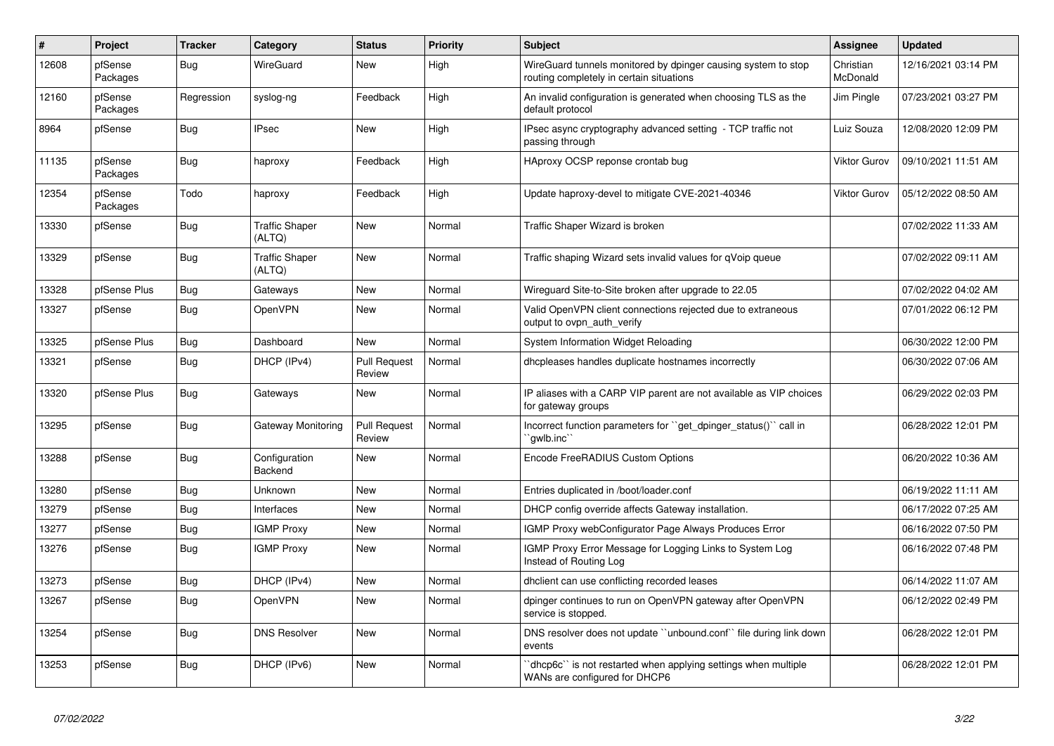| $\vert$ # | Project             | <b>Tracker</b> | Category                        | <b>Status</b>                 | <b>Priority</b> | <b>Subject</b>                                                                                            | <b>Assignee</b>       | <b>Updated</b>      |
|-----------|---------------------|----------------|---------------------------------|-------------------------------|-----------------|-----------------------------------------------------------------------------------------------------------|-----------------------|---------------------|
| 12608     | pfSense<br>Packages | Bug            | WireGuard                       | New                           | High            | WireGuard tunnels monitored by dpinger causing system to stop<br>routing completely in certain situations | Christian<br>McDonald | 12/16/2021 03:14 PM |
| 12160     | pfSense<br>Packages | Regression     | syslog-ng                       | Feedback                      | High            | An invalid configuration is generated when choosing TLS as the<br>default protocol                        | Jim Pingle            | 07/23/2021 03:27 PM |
| 8964      | pfSense             | <b>Bug</b>     | <b>IPsec</b>                    | <b>New</b>                    | High            | IPsec async cryptography advanced setting - TCP traffic not<br>passing through                            | Luiz Souza            | 12/08/2020 12:09 PM |
| 11135     | pfSense<br>Packages | <b>Bug</b>     | haproxy                         | Feedback                      | High            | HAproxy OCSP reponse crontab bug                                                                          | <b>Viktor Gurov</b>   | 09/10/2021 11:51 AM |
| 12354     | pfSense<br>Packages | Todo           | haproxy                         | Feedback                      | High            | Update haproxy-devel to mitigate CVE-2021-40346                                                           | <b>Viktor Gurov</b>   | 05/12/2022 08:50 AM |
| 13330     | pfSense             | <b>Bug</b>     | <b>Traffic Shaper</b><br>(ALTQ) | <b>New</b>                    | Normal          | Traffic Shaper Wizard is broken                                                                           |                       | 07/02/2022 11:33 AM |
| 13329     | pfSense             | <b>Bug</b>     | <b>Traffic Shaper</b><br>(ALTQ) | <b>New</b>                    | Normal          | Traffic shaping Wizard sets invalid values for qVoip queue                                                |                       | 07/02/2022 09:11 AM |
| 13328     | pfSense Plus        | <b>Bug</b>     | Gateways                        | <b>New</b>                    | Normal          | Wireguard Site-to-Site broken after upgrade to 22.05                                                      |                       | 07/02/2022 04:02 AM |
| 13327     | pfSense             | <b>Bug</b>     | OpenVPN                         | <b>New</b>                    | Normal          | Valid OpenVPN client connections rejected due to extraneous<br>output to ovpn auth verify                 |                       | 07/01/2022 06:12 PM |
| 13325     | pfSense Plus        | <b>Bug</b>     | Dashboard                       | <b>New</b>                    | Normal          | System Information Widget Reloading                                                                       |                       | 06/30/2022 12:00 PM |
| 13321     | pfSense             | <b>Bug</b>     | DHCP (IPv4)                     | <b>Pull Request</b><br>Review | Normal          | dhcpleases handles duplicate hostnames incorrectly                                                        |                       | 06/30/2022 07:06 AM |
| 13320     | pfSense Plus        | Bug            | Gateways                        | New                           | Normal          | IP aliases with a CARP VIP parent are not available as VIP choices<br>for gateway groups                  |                       | 06/29/2022 02:03 PM |
| 13295     | pfSense             | <b>Bug</b>     | Gateway Monitoring              | <b>Pull Request</b><br>Review | Normal          | Incorrect function parameters for "get_dpinger_status()" call in<br>`qwlb.inc`                            |                       | 06/28/2022 12:01 PM |
| 13288     | pfSense             | <b>Bug</b>     | Configuration<br>Backend        | <b>New</b>                    | Normal          | Encode FreeRADIUS Custom Options                                                                          |                       | 06/20/2022 10:36 AM |
| 13280     | pfSense             | <b>Bug</b>     | <b>Unknown</b>                  | <b>New</b>                    | Normal          | Entries duplicated in /boot/loader.conf                                                                   |                       | 06/19/2022 11:11 AM |
| 13279     | pfSense             | Bug            | Interfaces                      | <b>New</b>                    | Normal          | DHCP config override affects Gateway installation.                                                        |                       | 06/17/2022 07:25 AM |
| 13277     | pfSense             | Bug            | <b>IGMP Proxy</b>               | <b>New</b>                    | Normal          | IGMP Proxy webConfigurator Page Always Produces Error                                                     |                       | 06/16/2022 07:50 PM |
| 13276     | pfSense             | Bug            | <b>IGMP Proxy</b>               | New                           | Normal          | IGMP Proxy Error Message for Logging Links to System Log<br>Instead of Routing Log                        |                       | 06/16/2022 07:48 PM |
| 13273     | pfSense             | Bug            | DHCP (IPv4)                     | <b>New</b>                    | Normal          | dhclient can use conflicting recorded leases                                                              |                       | 06/14/2022 11:07 AM |
| 13267     | pfSense             | Bug            | OpenVPN                         | <b>New</b>                    | Normal          | dpinger continues to run on OpenVPN gateway after OpenVPN<br>service is stopped.                          |                       | 06/12/2022 02:49 PM |
| 13254     | pfSense             | Bug            | <b>DNS Resolver</b>             | <b>New</b>                    | Normal          | DNS resolver does not update "unbound.conf" file during link down<br>events                               |                       | 06/28/2022 12:01 PM |
| 13253     | pfSense             | Bug            | DHCP (IPv6)                     | <b>New</b>                    | Normal          | dhcp6c" is not restarted when applying settings when multiple<br>WANs are configured for DHCP6            |                       | 06/28/2022 12:01 PM |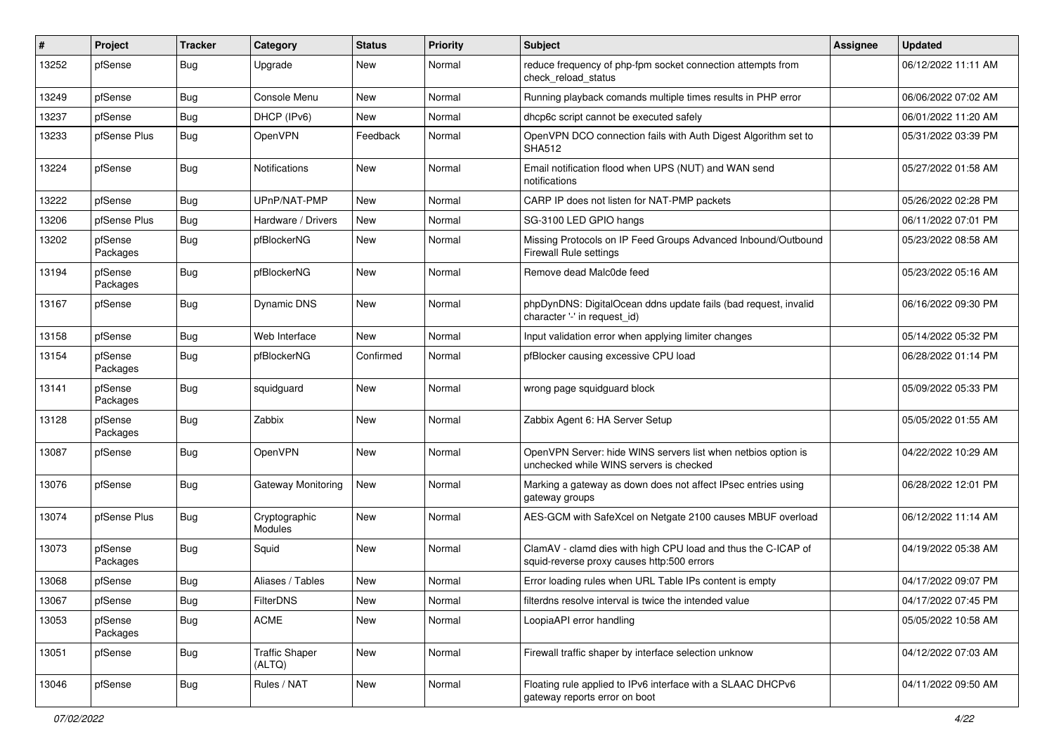| $\vert$ # | Project             | <b>Tracker</b> | Category                        | <b>Status</b> | <b>Priority</b> | <b>Subject</b>                                                                                              | <b>Assignee</b> | <b>Updated</b>      |
|-----------|---------------------|----------------|---------------------------------|---------------|-----------------|-------------------------------------------------------------------------------------------------------------|-----------------|---------------------|
| 13252     | pfSense             | <b>Bug</b>     | Upgrade                         | <b>New</b>    | Normal          | reduce frequency of php-fpm socket connection attempts from<br>check reload status                          |                 | 06/12/2022 11:11 AM |
| 13249     | pfSense             | <b>Bug</b>     | Console Menu                    | New           | Normal          | Running playback comands multiple times results in PHP error                                                |                 | 06/06/2022 07:02 AM |
| 13237     | pfSense             | <b>Bug</b>     | DHCP (IPv6)                     | <b>New</b>    | Normal          | dhcp6c script cannot be executed safely                                                                     |                 | 06/01/2022 11:20 AM |
| 13233     | pfSense Plus        | Bug            | OpenVPN                         | Feedback      | Normal          | OpenVPN DCO connection fails with Auth Digest Algorithm set to<br><b>SHA512</b>                             |                 | 05/31/2022 03:39 PM |
| 13224     | pfSense             | <b>Bug</b>     | Notifications                   | New           | Normal          | Email notification flood when UPS (NUT) and WAN send<br>notifications                                       |                 | 05/27/2022 01:58 AM |
| 13222     | pfSense             | <b>Bug</b>     | UPnP/NAT-PMP                    | <b>New</b>    | Normal          | CARP IP does not listen for NAT-PMP packets                                                                 |                 | 05/26/2022 02:28 PM |
| 13206     | pfSense Plus        | <b>Bug</b>     | Hardware / Drivers              | <b>New</b>    | Normal          | SG-3100 LED GPIO hangs                                                                                      |                 | 06/11/2022 07:01 PM |
| 13202     | pfSense<br>Packages | <b>Bug</b>     | pfBlockerNG                     | New           | Normal          | Missing Protocols on IP Feed Groups Advanced Inbound/Outbound<br><b>Firewall Rule settings</b>              |                 | 05/23/2022 08:58 AM |
| 13194     | pfSense<br>Packages | Bug            | pfBlockerNG                     | <b>New</b>    | Normal          | Remove dead Malc0de feed                                                                                    |                 | 05/23/2022 05:16 AM |
| 13167     | pfSense             | <b>Bug</b>     | Dynamic DNS                     | <b>New</b>    | Normal          | phpDynDNS: DigitalOcean ddns update fails (bad request, invalid<br>character '-' in request id)             |                 | 06/16/2022 09:30 PM |
| 13158     | pfSense             | <b>Bug</b>     | Web Interface                   | <b>New</b>    | Normal          | Input validation error when applying limiter changes                                                        |                 | 05/14/2022 05:32 PM |
| 13154     | pfSense<br>Packages | <b>Bug</b>     | pfBlockerNG                     | Confirmed     | Normal          | pfBlocker causing excessive CPU load                                                                        |                 | 06/28/2022 01:14 PM |
| 13141     | pfSense<br>Packages | Bug            | squidguard                      | <b>New</b>    | Normal          | wrong page squidguard block                                                                                 |                 | 05/09/2022 05:33 PM |
| 13128     | pfSense<br>Packages | Bug            | Zabbix                          | <b>New</b>    | Normal          | Zabbix Agent 6: HA Server Setup                                                                             |                 | 05/05/2022 01:55 AM |
| 13087     | pfSense             | Bug            | OpenVPN                         | <b>New</b>    | Normal          | OpenVPN Server: hide WINS servers list when netbios option is<br>unchecked while WINS servers is checked    |                 | 04/22/2022 10:29 AM |
| 13076     | pfSense             | <b>Bug</b>     | <b>Gateway Monitoring</b>       | <b>New</b>    | Normal          | Marking a gateway as down does not affect IPsec entries using<br>gateway groups                             |                 | 06/28/2022 12:01 PM |
| 13074     | pfSense Plus        | <b>Bug</b>     | Cryptographic<br>Modules        | <b>New</b>    | Normal          | AES-GCM with SafeXcel on Netgate 2100 causes MBUF overload                                                  |                 | 06/12/2022 11:14 AM |
| 13073     | pfSense<br>Packages | Bug            | Squid                           | <b>New</b>    | Normal          | ClamAV - clamd dies with high CPU load and thus the C-ICAP of<br>squid-reverse proxy causes http:500 errors |                 | 04/19/2022 05:38 AM |
| 13068     | pfSense             | <b>Bug</b>     | Aliases / Tables                | <b>New</b>    | Normal          | Error loading rules when URL Table IPs content is empty                                                     |                 | 04/17/2022 09:07 PM |
| 13067     | pfSense             | <b>Bug</b>     | FilterDNS                       | New           | Normal          | filterdns resolve interval is twice the intended value                                                      |                 | 04/17/2022 07:45 PM |
| 13053     | pfSense<br>Packages | <b>Bug</b>     | <b>ACME</b>                     | New           | Normal          | LoopiaAPI error handling                                                                                    |                 | 05/05/2022 10:58 AM |
| 13051     | pfSense             | <b>Bug</b>     | <b>Traffic Shaper</b><br>(ALTQ) | New           | Normal          | Firewall traffic shaper by interface selection unknow                                                       |                 | 04/12/2022 07:03 AM |
| 13046     | pfSense             | Bug            | Rules / NAT                     | New           | Normal          | Floating rule applied to IPv6 interface with a SLAAC DHCPv6<br>gateway reports error on boot                |                 | 04/11/2022 09:50 AM |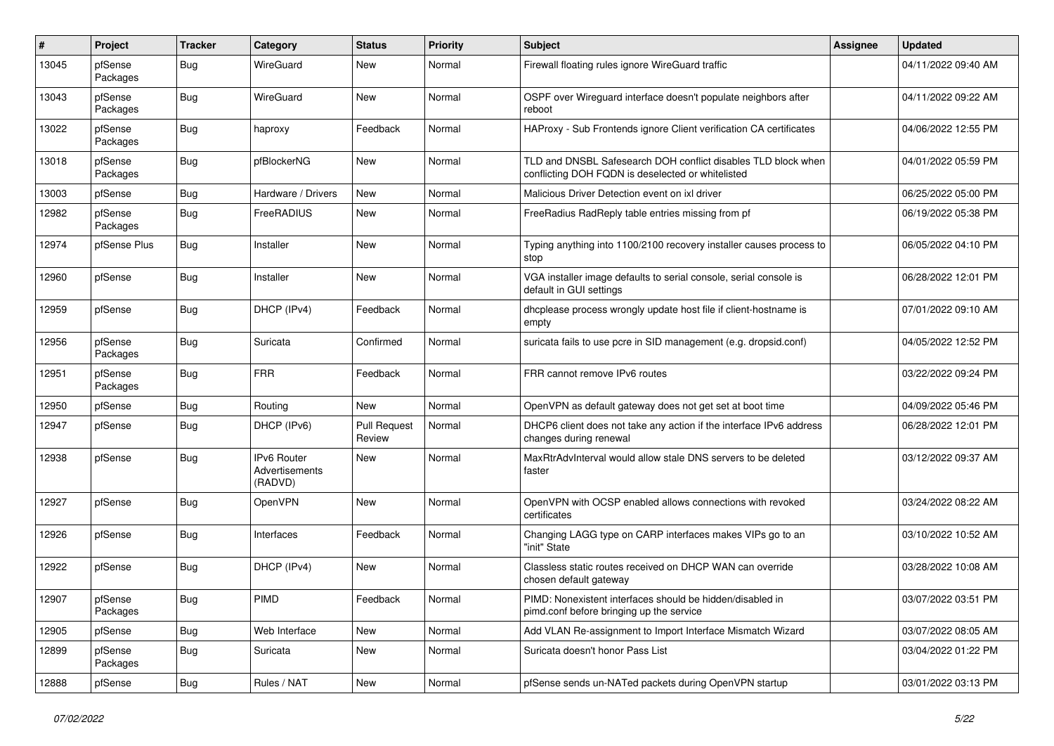| #     | Project             | <b>Tracker</b> | Category                                 | <b>Status</b>                 | <b>Priority</b> | Subject                                                                                                            | <b>Assignee</b> | <b>Updated</b>      |
|-------|---------------------|----------------|------------------------------------------|-------------------------------|-----------------|--------------------------------------------------------------------------------------------------------------------|-----------------|---------------------|
| 13045 | pfSense<br>Packages | <b>Bug</b>     | WireGuard                                | <b>New</b>                    | Normal          | Firewall floating rules ignore WireGuard traffic                                                                   |                 | 04/11/2022 09:40 AM |
| 13043 | pfSense<br>Packages | <b>Bug</b>     | WireGuard                                | <b>New</b>                    | Normal          | OSPF over Wireguard interface doesn't populate neighbors after<br>reboot                                           |                 | 04/11/2022 09:22 AM |
| 13022 | pfSense<br>Packages | <b>Bug</b>     | haproxy                                  | Feedback                      | Normal          | HAProxy - Sub Frontends ignore Client verification CA certificates                                                 |                 | 04/06/2022 12:55 PM |
| 13018 | pfSense<br>Packages | <b>Bug</b>     | pfBlockerNG                              | New                           | Normal          | TLD and DNSBL Safesearch DOH conflict disables TLD block when<br>conflicting DOH FQDN is deselected or whitelisted |                 | 04/01/2022 05:59 PM |
| 13003 | pfSense             | <b>Bug</b>     | Hardware / Drivers                       | <b>New</b>                    | Normal          | Malicious Driver Detection event on ixl driver                                                                     |                 | 06/25/2022 05:00 PM |
| 12982 | pfSense<br>Packages | <b>Bug</b>     | FreeRADIUS                               | <b>New</b>                    | Normal          | FreeRadius RadReply table entries missing from pf                                                                  |                 | 06/19/2022 05:38 PM |
| 12974 | pfSense Plus        | <b>Bug</b>     | Installer                                | <b>New</b>                    | Normal          | Typing anything into 1100/2100 recovery installer causes process to<br>stop                                        |                 | 06/05/2022 04:10 PM |
| 12960 | pfSense             | <b>Bug</b>     | Installer                                | New                           | Normal          | VGA installer image defaults to serial console, serial console is<br>default in GUI settings                       |                 | 06/28/2022 12:01 PM |
| 12959 | pfSense             | <b>Bug</b>     | DHCP (IPv4)                              | Feedback                      | Normal          | dhcplease process wrongly update host file if client-hostname is<br>empty                                          |                 | 07/01/2022 09:10 AM |
| 12956 | pfSense<br>Packages | <b>Bug</b>     | Suricata                                 | Confirmed                     | Normal          | suricata fails to use pcre in SID management (e.g. dropsid.conf)                                                   |                 | 04/05/2022 12:52 PM |
| 12951 | pfSense<br>Packages | <b>Bug</b>     | <b>FRR</b>                               | Feedback                      | Normal          | FRR cannot remove IPv6 routes                                                                                      |                 | 03/22/2022 09:24 PM |
| 12950 | pfSense             | <b>Bug</b>     | Routing                                  | New                           | Normal          | OpenVPN as default gateway does not get set at boot time                                                           |                 | 04/09/2022 05:46 PM |
| 12947 | pfSense             | <b>Bug</b>     | DHCP (IPv6)                              | <b>Pull Request</b><br>Review | Normal          | DHCP6 client does not take any action if the interface IPv6 address<br>changes during renewal                      |                 | 06/28/2022 12:01 PM |
| 12938 | pfSense             | <b>Bug</b>     | IPv6 Router<br>Advertisements<br>(RADVD) | New                           | Normal          | MaxRtrAdvInterval would allow stale DNS servers to be deleted<br>faster                                            |                 | 03/12/2022 09:37 AM |
| 12927 | pfSense             | <b>Bug</b>     | OpenVPN                                  | <b>New</b>                    | Normal          | OpenVPN with OCSP enabled allows connections with revoked<br>certificates                                          |                 | 03/24/2022 08:22 AM |
| 12926 | pfSense             | <b>Bug</b>     | Interfaces                               | Feedback                      | Normal          | Changing LAGG type on CARP interfaces makes VIPs go to an<br>"init" State                                          |                 | 03/10/2022 10:52 AM |
| 12922 | pfSense             | <b>Bug</b>     | DHCP (IPv4)                              | New                           | Normal          | Classless static routes received on DHCP WAN can override<br>chosen default gateway                                |                 | 03/28/2022 10:08 AM |
| 12907 | pfSense<br>Packages | <b>Bug</b>     | PIMD                                     | Feedback                      | Normal          | PIMD: Nonexistent interfaces should be hidden/disabled in<br>pimd.conf before bringing up the service              |                 | 03/07/2022 03:51 PM |
| 12905 | pfSense             | Bug            | Web Interface                            | New                           | Normal          | Add VLAN Re-assignment to Import Interface Mismatch Wizard                                                         |                 | 03/07/2022 08:05 AM |
| 12899 | pfSense<br>Packages | <b>Bug</b>     | Suricata                                 | New                           | Normal          | Suricata doesn't honor Pass List                                                                                   |                 | 03/04/2022 01:22 PM |
| 12888 | pfSense             | <b>Bug</b>     | Rules / NAT                              | New                           | Normal          | pfSense sends un-NATed packets during OpenVPN startup                                                              |                 | 03/01/2022 03:13 PM |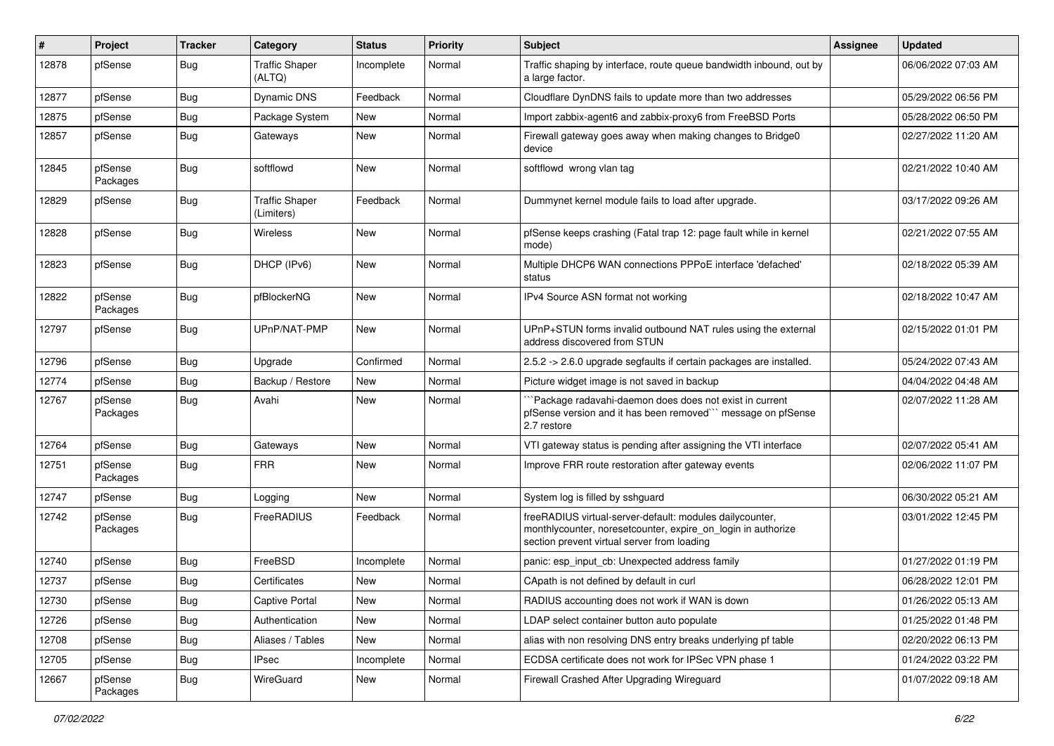| ∦     | Project             | <b>Tracker</b> | Category                            | <b>Status</b> | <b>Priority</b> | Subject                                                                                                                                                                 | <b>Assignee</b> | Updated             |
|-------|---------------------|----------------|-------------------------------------|---------------|-----------------|-------------------------------------------------------------------------------------------------------------------------------------------------------------------------|-----------------|---------------------|
| 12878 | pfSense             | <b>Bug</b>     | <b>Traffic Shaper</b><br>(ALTQ)     | Incomplete    | Normal          | Traffic shaping by interface, route queue bandwidth inbound, out by<br>a large factor.                                                                                  |                 | 06/06/2022 07:03 AM |
| 12877 | pfSense             | Bug            | <b>Dynamic DNS</b>                  | Feedback      | Normal          | Cloudflare DynDNS fails to update more than two addresses                                                                                                               |                 | 05/29/2022 06:56 PM |
| 12875 | pfSense             | <b>Bug</b>     | Package System                      | <b>New</b>    | Normal          | Import zabbix-agent6 and zabbix-proxy6 from FreeBSD Ports                                                                                                               |                 | 05/28/2022 06:50 PM |
| 12857 | pfSense             | Bug            | Gateways                            | New           | Normal          | Firewall gateway goes away when making changes to Bridge0<br>device                                                                                                     |                 | 02/27/2022 11:20 AM |
| 12845 | pfSense<br>Packages | Bug            | softflowd                           | New           | Normal          | softflowd wrong vlan tag                                                                                                                                                |                 | 02/21/2022 10:40 AM |
| 12829 | pfSense             | Bug            | <b>Traffic Shaper</b><br>(Limiters) | Feedback      | Normal          | Dummynet kernel module fails to load after upgrade.                                                                                                                     |                 | 03/17/2022 09:26 AM |
| 12828 | pfSense             | <b>Bug</b>     | <b>Wireless</b>                     | <b>New</b>    | Normal          | pfSense keeps crashing (Fatal trap 12: page fault while in kernel<br>mode)                                                                                              |                 | 02/21/2022 07:55 AM |
| 12823 | pfSense             | <b>Bug</b>     | DHCP (IPv6)                         | <b>New</b>    | Normal          | Multiple DHCP6 WAN connections PPPoE interface 'defached'<br>status                                                                                                     |                 | 02/18/2022 05:39 AM |
| 12822 | pfSense<br>Packages | <b>Bug</b>     | pfBlockerNG                         | <b>New</b>    | Normal          | IPv4 Source ASN format not working                                                                                                                                      |                 | 02/18/2022 10:47 AM |
| 12797 | pfSense             | Bug            | UPnP/NAT-PMP                        | New           | Normal          | UPnP+STUN forms invalid outbound NAT rules using the external<br>address discovered from STUN                                                                           |                 | 02/15/2022 01:01 PM |
| 12796 | pfSense             | Bug            | Upgrade                             | Confirmed     | Normal          | 2.5.2 -> 2.6.0 upgrade segfaults if certain packages are installed.                                                                                                     |                 | 05/24/2022 07:43 AM |
| 12774 | pfSense             | <b>Bug</b>     | Backup / Restore                    | <b>New</b>    | Normal          | Picture widget image is not saved in backup                                                                                                                             |                 | 04/04/2022 04:48 AM |
| 12767 | pfSense<br>Packages | Bug            | Avahi                               | New           | Normal          | `Package radavahi-daemon does does not exist in current<br>pfSense version and it has been removed"" message on pfSense<br>2.7 restore                                  |                 | 02/07/2022 11:28 AM |
| 12764 | pfSense             | <b>Bug</b>     | Gateways                            | <b>New</b>    | Normal          | VTI gateway status is pending after assigning the VTI interface                                                                                                         |                 | 02/07/2022 05:41 AM |
| 12751 | pfSense<br>Packages | Bug            | <b>FRR</b>                          | New           | Normal          | Improve FRR route restoration after gateway events                                                                                                                      |                 | 02/06/2022 11:07 PM |
| 12747 | pfSense             | <b>Bug</b>     | Logging                             | <b>New</b>    | Normal          | System log is filled by sshguard                                                                                                                                        |                 | 06/30/2022 05:21 AM |
| 12742 | pfSense<br>Packages | <b>Bug</b>     | FreeRADIUS                          | Feedback      | Normal          | freeRADIUS virtual-server-default: modules dailycounter,<br>monthlycounter, noresetcounter, expire_on_login in authorize<br>section prevent virtual server from loading |                 | 03/01/2022 12:45 PM |
| 12740 | pfSense             | <b>Bug</b>     | FreeBSD                             | Incomplete    | Normal          | panic: esp input cb: Unexpected address family                                                                                                                          |                 | 01/27/2022 01:19 PM |
| 12737 | pfSense             | <b>Bug</b>     | Certificates                        | New           | Normal          | CApath is not defined by default in curl                                                                                                                                |                 | 06/28/2022 12:01 PM |
| 12730 | pfSense             | <b>Bug</b>     | <b>Captive Portal</b>               | New           | Normal          | RADIUS accounting does not work if WAN is down                                                                                                                          |                 | 01/26/2022 05:13 AM |
| 12726 | pfSense             | Bug            | Authentication                      | New           | Normal          | LDAP select container button auto populate                                                                                                                              |                 | 01/25/2022 01:48 PM |
| 12708 | pfSense             | <b>Bug</b>     | Aliases / Tables                    | New           | Normal          | alias with non resolving DNS entry breaks underlying pf table                                                                                                           |                 | 02/20/2022 06:13 PM |
| 12705 | pfSense             | Bug            | <b>IPsec</b>                        | Incomplete    | Normal          | ECDSA certificate does not work for IPSec VPN phase 1                                                                                                                   |                 | 01/24/2022 03:22 PM |
| 12667 | pfSense<br>Packages | Bug            | WireGuard                           | New           | Normal          | Firewall Crashed After Upgrading Wireguard                                                                                                                              |                 | 01/07/2022 09:18 AM |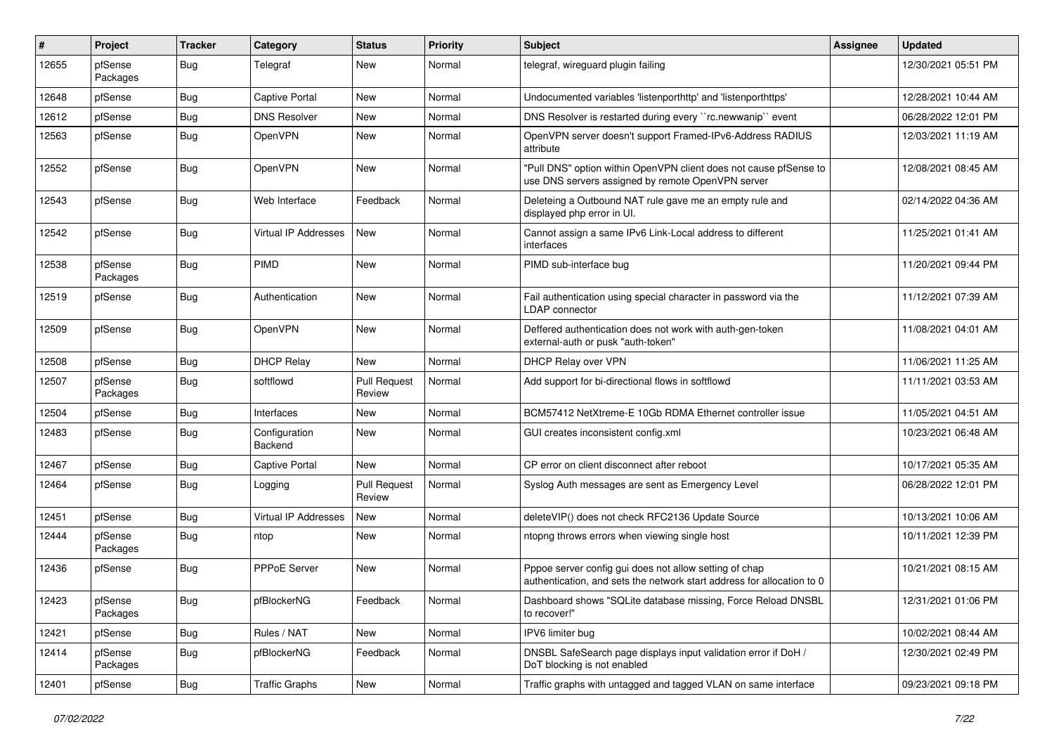| #     | Project             | <b>Tracker</b> | Category                 | <b>Status</b>                 | <b>Priority</b> | Subject                                                                                                                          | <b>Assignee</b> | <b>Updated</b>      |
|-------|---------------------|----------------|--------------------------|-------------------------------|-----------------|----------------------------------------------------------------------------------------------------------------------------------|-----------------|---------------------|
| 12655 | pfSense<br>Packages | <b>Bug</b>     | Telegraf                 | New                           | Normal          | telegraf, wireguard plugin failing                                                                                               |                 | 12/30/2021 05:51 PM |
| 12648 | pfSense             | Bug            | <b>Captive Portal</b>    | <b>New</b>                    | Normal          | Undocumented variables 'listenporthttp' and 'listenporthttps'                                                                    |                 | 12/28/2021 10:44 AM |
| 12612 | pfSense             | <b>Bug</b>     | <b>DNS Resolver</b>      | New                           | Normal          | DNS Resolver is restarted during every "rc.newwanip" event                                                                       |                 | 06/28/2022 12:01 PM |
| 12563 | pfSense             | <b>Bug</b>     | OpenVPN                  | <b>New</b>                    | Normal          | OpenVPN server doesn't support Framed-IPv6-Address RADIUS<br>attribute                                                           |                 | 12/03/2021 11:19 AM |
| 12552 | pfSense             | <b>Bug</b>     | OpenVPN                  | <b>New</b>                    | Normal          | "Pull DNS" option within OpenVPN client does not cause pfSense to<br>use DNS servers assigned by remote OpenVPN server           |                 | 12/08/2021 08:45 AM |
| 12543 | pfSense             | Bug            | Web Interface            | Feedback                      | Normal          | Deleteing a Outbound NAT rule gave me an empty rule and<br>displayed php error in UI.                                            |                 | 02/14/2022 04:36 AM |
| 12542 | pfSense             | Bug            | Virtual IP Addresses     | New                           | Normal          | Cannot assign a same IPv6 Link-Local address to different<br>interfaces                                                          |                 | 11/25/2021 01:41 AM |
| 12538 | pfSense<br>Packages | <b>Bug</b>     | PIMD                     | <b>New</b>                    | Normal          | PIMD sub-interface bug                                                                                                           |                 | 11/20/2021 09:44 PM |
| 12519 | pfSense             | Bug            | Authentication           | <b>New</b>                    | Normal          | Fail authentication using special character in password via the<br>LDAP connector                                                |                 | 11/12/2021 07:39 AM |
| 12509 | pfSense             | <b>Bug</b>     | <b>OpenVPN</b>           | <b>New</b>                    | Normal          | Deffered authentication does not work with auth-gen-token<br>external-auth or pusk "auth-token"                                  |                 | 11/08/2021 04:01 AM |
| 12508 | pfSense             | <b>Bug</b>     | <b>DHCP Relay</b>        | <b>New</b>                    | Normal          | DHCP Relay over VPN                                                                                                              |                 | 11/06/2021 11:25 AM |
| 12507 | pfSense<br>Packages | <b>Bug</b>     | softflowd                | <b>Pull Request</b><br>Review | Normal          | Add support for bi-directional flows in softflowd                                                                                |                 | 11/11/2021 03:53 AM |
| 12504 | pfSense             | <b>Bug</b>     | Interfaces               | <b>New</b>                    | Normal          | BCM57412 NetXtreme-E 10Gb RDMA Ethernet controller issue                                                                         |                 | 11/05/2021 04:51 AM |
| 12483 | pfSense             | <b>Bug</b>     | Configuration<br>Backend | New                           | Normal          | GUI creates inconsistent config.xml                                                                                              |                 | 10/23/2021 06:48 AM |
| 12467 | pfSense             | <b>Bug</b>     | <b>Captive Portal</b>    | New                           | Normal          | CP error on client disconnect after reboot                                                                                       |                 | 10/17/2021 05:35 AM |
| 12464 | pfSense             | <b>Bug</b>     | Logging                  | Pull Request<br>Review        | Normal          | Syslog Auth messages are sent as Emergency Level                                                                                 |                 | 06/28/2022 12:01 PM |
| 12451 | pfSense             | <b>Bug</b>     | Virtual IP Addresses     | <b>New</b>                    | Normal          | deleteVIP() does not check RFC2136 Update Source                                                                                 |                 | 10/13/2021 10:06 AM |
| 12444 | pfSense<br>Packages | <b>Bug</b>     | ntop                     | New                           | Normal          | ntopng throws errors when viewing single host                                                                                    |                 | 10/11/2021 12:39 PM |
| 12436 | pfSense             | <b>Bug</b>     | <b>PPPoE Server</b>      | New                           | Normal          | Pppoe server config gui does not allow setting of chap<br>authentication, and sets the network start address for allocation to 0 |                 | 10/21/2021 08:15 AM |
| 12423 | pfSense<br>Packages | <b>Bug</b>     | pfBlockerNG              | Feedback                      | Normal          | Dashboard shows "SQLite database missing, Force Reload DNSBL<br>to recover!"                                                     |                 | 12/31/2021 01:06 PM |
| 12421 | pfSense             | Bug            | Rules / NAT              | New                           | Normal          | IPV6 limiter bug                                                                                                                 |                 | 10/02/2021 08:44 AM |
| 12414 | pfSense<br>Packages | Bug            | pfBlockerNG              | Feedback                      | Normal          | DNSBL SafeSearch page displays input validation error if DoH /<br>DoT blocking is not enabled                                    |                 | 12/30/2021 02:49 PM |
| 12401 | pfSense             | Bug            | <b>Traffic Graphs</b>    | New                           | Normal          | Traffic graphs with untagged and tagged VLAN on same interface                                                                   |                 | 09/23/2021 09:18 PM |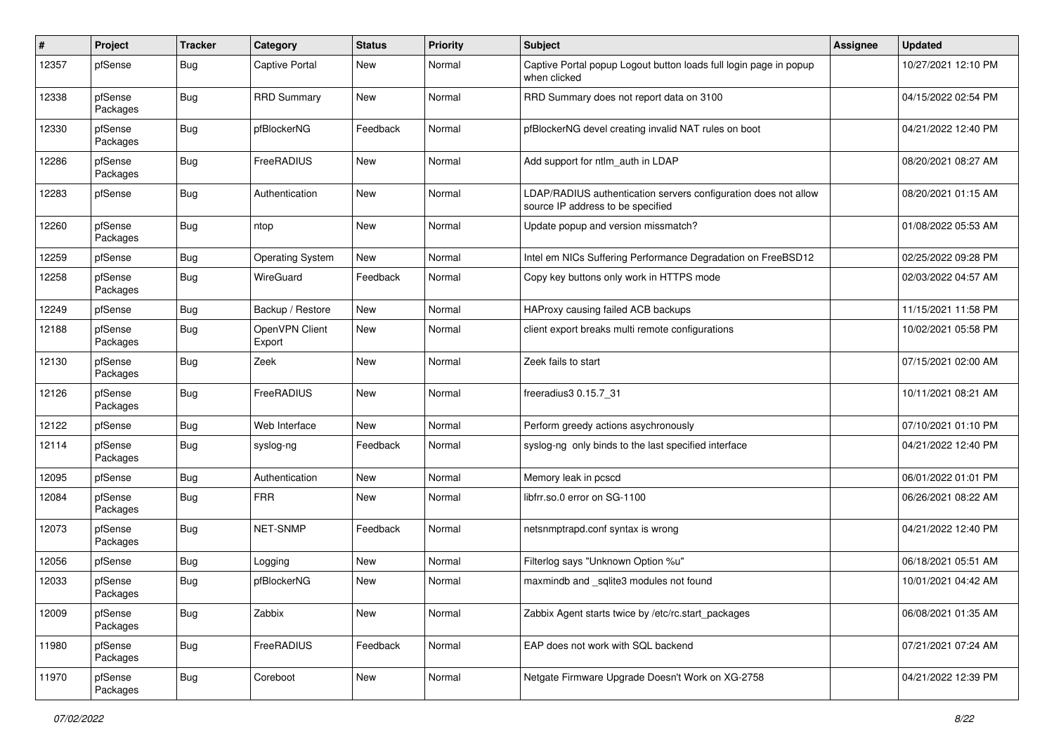| ∦     | Project             | <b>Tracker</b> | Category                 | <b>Status</b> | <b>Priority</b> | Subject                                                                                              | Assignee | <b>Updated</b>      |
|-------|---------------------|----------------|--------------------------|---------------|-----------------|------------------------------------------------------------------------------------------------------|----------|---------------------|
| 12357 | pfSense             | <b>Bug</b>     | <b>Captive Portal</b>    | New           | Normal          | Captive Portal popup Logout button loads full login page in popup<br>when clicked                    |          | 10/27/2021 12:10 PM |
| 12338 | pfSense<br>Packages | <b>Bug</b>     | <b>RRD Summary</b>       | New           | Normal          | RRD Summary does not report data on 3100                                                             |          | 04/15/2022 02:54 PM |
| 12330 | pfSense<br>Packages | <b>Bug</b>     | pfBlockerNG              | Feedback      | Normal          | pfBlockerNG devel creating invalid NAT rules on boot                                                 |          | 04/21/2022 12:40 PM |
| 12286 | pfSense<br>Packages | <b>Bug</b>     | FreeRADIUS               | New           | Normal          | Add support for ntlm_auth in LDAP                                                                    |          | 08/20/2021 08:27 AM |
| 12283 | pfSense             | <b>Bug</b>     | Authentication           | <b>New</b>    | Normal          | LDAP/RADIUS authentication servers configuration does not allow<br>source IP address to be specified |          | 08/20/2021 01:15 AM |
| 12260 | pfSense<br>Packages | <b>Bug</b>     | ntop                     | New           | Normal          | Update popup and version missmatch?                                                                  |          | 01/08/2022 05:53 AM |
| 12259 | pfSense             | <b>Bug</b>     | <b>Operating System</b>  | <b>New</b>    | Normal          | Intel em NICs Suffering Performance Degradation on FreeBSD12                                         |          | 02/25/2022 09:28 PM |
| 12258 | pfSense<br>Packages | <b>Bug</b>     | WireGuard                | Feedback      | Normal          | Copy key buttons only work in HTTPS mode                                                             |          | 02/03/2022 04:57 AM |
| 12249 | pfSense             | <b>Bug</b>     | Backup / Restore         | New           | Normal          | HAProxy causing failed ACB backups                                                                   |          | 11/15/2021 11:58 PM |
| 12188 | pfSense<br>Packages | <b>Bug</b>     | OpenVPN Client<br>Export | New           | Normal          | client export breaks multi remote configurations                                                     |          | 10/02/2021 05:58 PM |
| 12130 | pfSense<br>Packages | <b>Bug</b>     | Zeek                     | <b>New</b>    | Normal          | Zeek fails to start                                                                                  |          | 07/15/2021 02:00 AM |
| 12126 | pfSense<br>Packages | <b>Bug</b>     | FreeRADIUS               | <b>New</b>    | Normal          | freeradius3 0.15.7 31                                                                                |          | 10/11/2021 08:21 AM |
| 12122 | pfSense             | <b>Bug</b>     | Web Interface            | <b>New</b>    | Normal          | Perform greedy actions asychronously                                                                 |          | 07/10/2021 01:10 PM |
| 12114 | pfSense<br>Packages | <b>Bug</b>     | syslog-ng                | Feedback      | Normal          | syslog-ng only binds to the last specified interface                                                 |          | 04/21/2022 12:40 PM |
| 12095 | pfSense             | <b>Bug</b>     | Authentication           | <b>New</b>    | Normal          | Memory leak in pcscd                                                                                 |          | 06/01/2022 01:01 PM |
| 12084 | pfSense<br>Packages | <b>Bug</b>     | <b>FRR</b>               | New           | Normal          | libfrr.so.0 error on SG-1100                                                                         |          | 06/26/2021 08:22 AM |
| 12073 | pfSense<br>Packages | <b>Bug</b>     | NET-SNMP                 | Feedback      | Normal          | netsnmptrapd.conf syntax is wrong                                                                    |          | 04/21/2022 12:40 PM |
| 12056 | pfSense             | <b>Bug</b>     | Logging                  | New           | Normal          | Filterlog says "Unknown Option %u"                                                                   |          | 06/18/2021 05:51 AM |
| 12033 | pfSense<br>Packages | Bug            | pfBlockerNG              | <b>New</b>    | Normal          | maxmindb and sqlite3 modules not found                                                               |          | 10/01/2021 04:42 AM |
| 12009 | pfSense<br>Packages | <b>Bug</b>     | Zabbix                   | New           | Normal          | Zabbix Agent starts twice by /etc/rc.start packages                                                  |          | 06/08/2021 01:35 AM |
| 11980 | pfSense<br>Packages | Bug            | FreeRADIUS               | Feedback      | Normal          | EAP does not work with SQL backend                                                                   |          | 07/21/2021 07:24 AM |
| 11970 | pfSense<br>Packages | <b>Bug</b>     | Coreboot                 | New           | Normal          | Netgate Firmware Upgrade Doesn't Work on XG-2758                                                     |          | 04/21/2022 12:39 PM |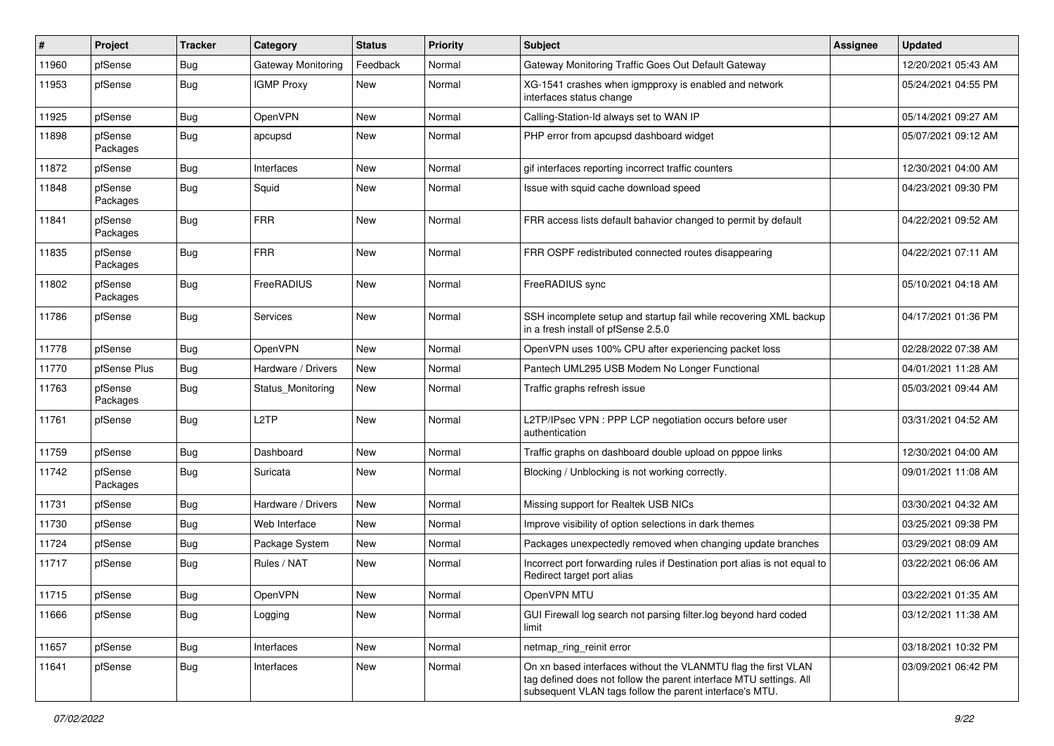| ∦     | Project             | Tracker    | Category           | <b>Status</b> | <b>Priority</b> | <b>Subject</b>                                                                                                                                                                                  | <b>Assignee</b> | <b>Updated</b>      |
|-------|---------------------|------------|--------------------|---------------|-----------------|-------------------------------------------------------------------------------------------------------------------------------------------------------------------------------------------------|-----------------|---------------------|
| 11960 | pfSense             | <b>Bug</b> | Gateway Monitoring | Feedback      | Normal          | Gateway Monitoring Traffic Goes Out Default Gateway                                                                                                                                             |                 | 12/20/2021 05:43 AM |
| 11953 | pfSense             | Bug        | <b>IGMP Proxy</b>  | <b>New</b>    | Normal          | XG-1541 crashes when igmpproxy is enabled and network<br>interfaces status change                                                                                                               |                 | 05/24/2021 04:55 PM |
| 11925 | pfSense             | <b>Bug</b> | OpenVPN            | <b>New</b>    | Normal          | Calling-Station-Id always set to WAN IP                                                                                                                                                         |                 | 05/14/2021 09:27 AM |
| 11898 | pfSense<br>Packages | Bug        | apcupsd            | <b>New</b>    | Normal          | PHP error from apcupsd dashboard widget                                                                                                                                                         |                 | 05/07/2021 09:12 AM |
| 11872 | pfSense             | <b>Bug</b> | Interfaces         | <b>New</b>    | Normal          | gif interfaces reporting incorrect traffic counters                                                                                                                                             |                 | 12/30/2021 04:00 AM |
| 11848 | pfSense<br>Packages | <b>Bug</b> | Squid              | <b>New</b>    | Normal          | Issue with squid cache download speed                                                                                                                                                           |                 | 04/23/2021 09:30 PM |
| 11841 | pfSense<br>Packages | <b>Bug</b> | <b>FRR</b>         | <b>New</b>    | Normal          | FRR access lists default bahavior changed to permit by default                                                                                                                                  |                 | 04/22/2021 09:52 AM |
| 11835 | pfSense<br>Packages | <b>Bug</b> | <b>FRR</b>         | <b>New</b>    | Normal          | FRR OSPF redistributed connected routes disappearing                                                                                                                                            |                 | 04/22/2021 07:11 AM |
| 11802 | pfSense<br>Packages | Bug        | FreeRADIUS         | <b>New</b>    | Normal          | FreeRADIUS sync                                                                                                                                                                                 |                 | 05/10/2021 04:18 AM |
| 11786 | pfSense             | <b>Bug</b> | Services           | <b>New</b>    | Normal          | SSH incomplete setup and startup fail while recovering XML backup<br>in a fresh install of pfSense 2.5.0                                                                                        |                 | 04/17/2021 01:36 PM |
| 11778 | pfSense             | <b>Bug</b> | OpenVPN            | <b>New</b>    | Normal          | OpenVPN uses 100% CPU after experiencing packet loss                                                                                                                                            |                 | 02/28/2022 07:38 AM |
| 11770 | pfSense Plus        | <b>Bug</b> | Hardware / Drivers | <b>New</b>    | Normal          | Pantech UML295 USB Modem No Longer Functional                                                                                                                                                   |                 | 04/01/2021 11:28 AM |
| 11763 | pfSense<br>Packages | <b>Bug</b> | Status Monitoring  | <b>New</b>    | Normal          | Traffic graphs refresh issue                                                                                                                                                                    |                 | 05/03/2021 09:44 AM |
| 11761 | pfSense             | Bug        | L <sub>2</sub> TP  | <b>New</b>    | Normal          | L2TP/IPsec VPN : PPP LCP negotiation occurs before user<br>authentication                                                                                                                       |                 | 03/31/2021 04:52 AM |
| 11759 | pfSense             | Bug        | Dashboard          | <b>New</b>    | Normal          | Traffic graphs on dashboard double upload on pppoe links                                                                                                                                        |                 | 12/30/2021 04:00 AM |
| 11742 | pfSense<br>Packages | <b>Bug</b> | Suricata           | <b>New</b>    | Normal          | Blocking / Unblocking is not working correctly.                                                                                                                                                 |                 | 09/01/2021 11:08 AM |
| 11731 | pfSense             | <b>Bug</b> | Hardware / Drivers | <b>New</b>    | Normal          | Missing support for Realtek USB NICs                                                                                                                                                            |                 | 03/30/2021 04:32 AM |
| 11730 | pfSense             | <b>Bug</b> | Web Interface      | <b>New</b>    | Normal          | Improve visibility of option selections in dark themes                                                                                                                                          |                 | 03/25/2021 09:38 PM |
| 11724 | pfSense             | <b>Bug</b> | Package System     | <b>New</b>    | Normal          | Packages unexpectedly removed when changing update branches                                                                                                                                     |                 | 03/29/2021 08:09 AM |
| 11717 | pfSense             | Bug        | Rules / NAT        | <b>New</b>    | Normal          | Incorrect port forwarding rules if Destination port alias is not equal to<br>Redirect target port alias                                                                                         |                 | 03/22/2021 06:06 AM |
| 11715 | pfSense             | <b>Bug</b> | OpenVPN            | New           | Normal          | OpenVPN MTU                                                                                                                                                                                     |                 | 03/22/2021 01:35 AM |
| 11666 | pfSense             | Bug        | Logging            | New           | Normal          | GUI Firewall log search not parsing filter.log beyond hard coded<br>limit                                                                                                                       |                 | 03/12/2021 11:38 AM |
| 11657 | pfSense             | <b>Bug</b> | Interfaces         | New           | Normal          | netmap_ring_reinit error                                                                                                                                                                        |                 | 03/18/2021 10:32 PM |
| 11641 | pfSense             | Bug        | Interfaces         | New           | Normal          | On xn based interfaces without the VLANMTU flag the first VLAN<br>tag defined does not follow the parent interface MTU settings. All<br>subsequent VLAN tags follow the parent interface's MTU. |                 | 03/09/2021 06:42 PM |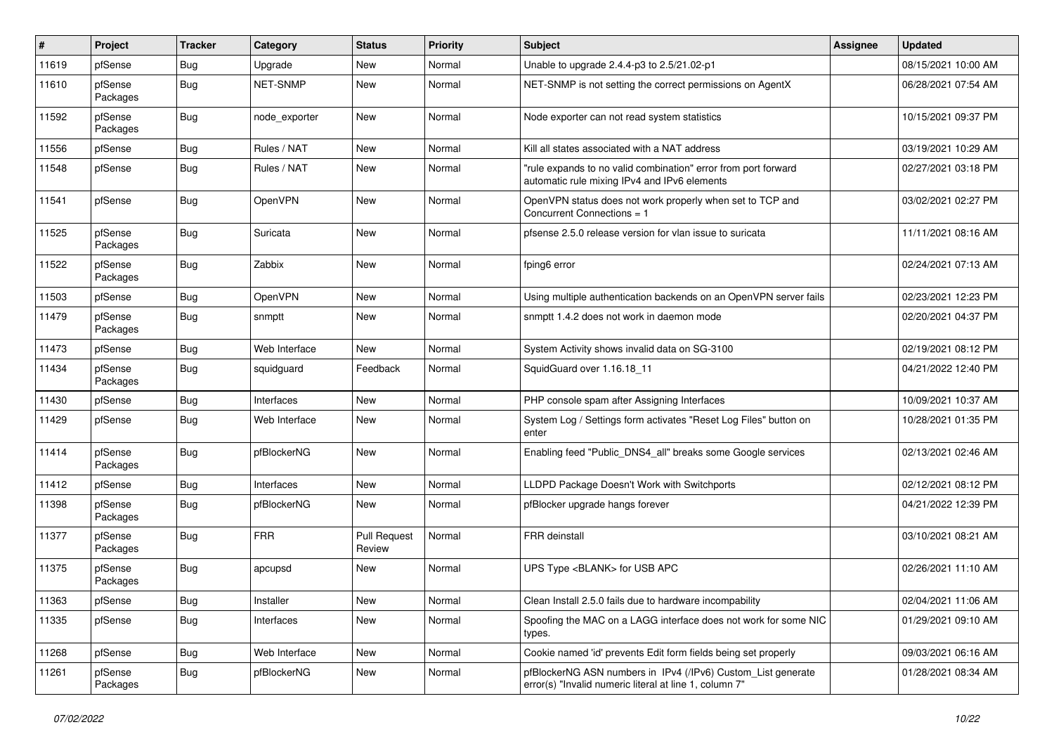| ∦     | Project             | <b>Tracker</b> | Category        | <b>Status</b>                 | <b>Priority</b> | <b>Subject</b>                                                                                                         | <b>Assignee</b> | <b>Updated</b>      |
|-------|---------------------|----------------|-----------------|-------------------------------|-----------------|------------------------------------------------------------------------------------------------------------------------|-----------------|---------------------|
| 11619 | pfSense             | <b>Bug</b>     | Upgrade         | <b>New</b>                    | Normal          | Unable to upgrade 2.4.4-p3 to 2.5/21.02-p1                                                                             |                 | 08/15/2021 10:00 AM |
| 11610 | pfSense<br>Packages | Bug            | <b>NET-SNMP</b> | <b>New</b>                    | Normal          | NET-SNMP is not setting the correct permissions on AgentX                                                              |                 | 06/28/2021 07:54 AM |
| 11592 | pfSense<br>Packages | <b>Bug</b>     | node_exporter   | <b>New</b>                    | Normal          | Node exporter can not read system statistics                                                                           |                 | 10/15/2021 09:37 PM |
| 11556 | pfSense             | Bug            | Rules / NAT     | <b>New</b>                    | Normal          | Kill all states associated with a NAT address                                                                          |                 | 03/19/2021 10:29 AM |
| 11548 | pfSense             | <b>Bug</b>     | Rules / NAT     | <b>New</b>                    | Normal          | "rule expands to no valid combination" error from port forward<br>automatic rule mixing IPv4 and IPv6 elements         |                 | 02/27/2021 03:18 PM |
| 11541 | pfSense             | <b>Bug</b>     | OpenVPN         | <b>New</b>                    | Normal          | OpenVPN status does not work properly when set to TCP and<br>Concurrent Connections = 1                                |                 | 03/02/2021 02:27 PM |
| 11525 | pfSense<br>Packages | Bug            | Suricata        | <b>New</b>                    | Normal          | pfsense 2.5.0 release version for vlan issue to suricata                                                               |                 | 11/11/2021 08:16 AM |
| 11522 | pfSense<br>Packages | <b>Bug</b>     | Zabbix          | <b>New</b>                    | Normal          | fping6 error                                                                                                           |                 | 02/24/2021 07:13 AM |
| 11503 | pfSense             | <b>Bug</b>     | OpenVPN         | <b>New</b>                    | Normal          | Using multiple authentication backends on an OpenVPN server fails                                                      |                 | 02/23/2021 12:23 PM |
| 11479 | pfSense<br>Packages | <b>Bug</b>     | snmptt          | <b>New</b>                    | Normal          | snmptt 1.4.2 does not work in daemon mode                                                                              |                 | 02/20/2021 04:37 PM |
| 11473 | pfSense             | <b>Bug</b>     | Web Interface   | <b>New</b>                    | Normal          | System Activity shows invalid data on SG-3100                                                                          |                 | 02/19/2021 08:12 PM |
| 11434 | pfSense<br>Packages | <b>Bug</b>     | squidguard      | Feedback                      | Normal          | SquidGuard over 1.16.18_11                                                                                             |                 | 04/21/2022 12:40 PM |
| 11430 | pfSense             | <b>Bug</b>     | Interfaces      | <b>New</b>                    | Normal          | PHP console spam after Assigning Interfaces                                                                            |                 | 10/09/2021 10:37 AM |
| 11429 | pfSense             | <b>Bug</b>     | Web Interface   | <b>New</b>                    | Normal          | System Log / Settings form activates "Reset Log Files" button on<br>enter                                              |                 | 10/28/2021 01:35 PM |
| 11414 | pfSense<br>Packages | Bug            | pfBlockerNG     | <b>New</b>                    | Normal          | Enabling feed "Public_DNS4_all" breaks some Google services                                                            |                 | 02/13/2021 02:46 AM |
| 11412 | pfSense             | <b>Bug</b>     | Interfaces      | <b>New</b>                    | Normal          | LLDPD Package Doesn't Work with Switchports                                                                            |                 | 02/12/2021 08:12 PM |
| 11398 | pfSense<br>Packages | <b>Bug</b>     | pfBlockerNG     | <b>New</b>                    | Normal          | pfBlocker upgrade hangs forever                                                                                        |                 | 04/21/2022 12:39 PM |
| 11377 | pfSense<br>Packages | <b>Bug</b>     | <b>FRR</b>      | <b>Pull Request</b><br>Review | Normal          | <b>FRR</b> deinstall                                                                                                   |                 | 03/10/2021 08:21 AM |
| 11375 | pfSense<br>Packages | Bug            | apcupsd         | <b>New</b>                    | Normal          | UPS Type <blank> for USB APC</blank>                                                                                   |                 | 02/26/2021 11:10 AM |
| 11363 | pfSense             | <b>Bug</b>     | Installer       | New                           | Normal          | Clean Install 2.5.0 fails due to hardware incompability                                                                |                 | 02/04/2021 11:06 AM |
| 11335 | pfSense             | <b>Bug</b>     | Interfaces      | New                           | Normal          | Spoofing the MAC on a LAGG interface does not work for some NIC<br>types.                                              |                 | 01/29/2021 09:10 AM |
| 11268 | pfSense             | Bug            | Web Interface   | New                           | Normal          | Cookie named 'id' prevents Edit form fields being set properly                                                         |                 | 09/03/2021 06:16 AM |
| 11261 | pfSense<br>Packages | Bug            | pfBlockerNG     | New                           | Normal          | pfBlockerNG ASN numbers in IPv4 (/IPv6) Custom List generate<br>error(s) "Invalid numeric literal at line 1, column 7" |                 | 01/28/2021 08:34 AM |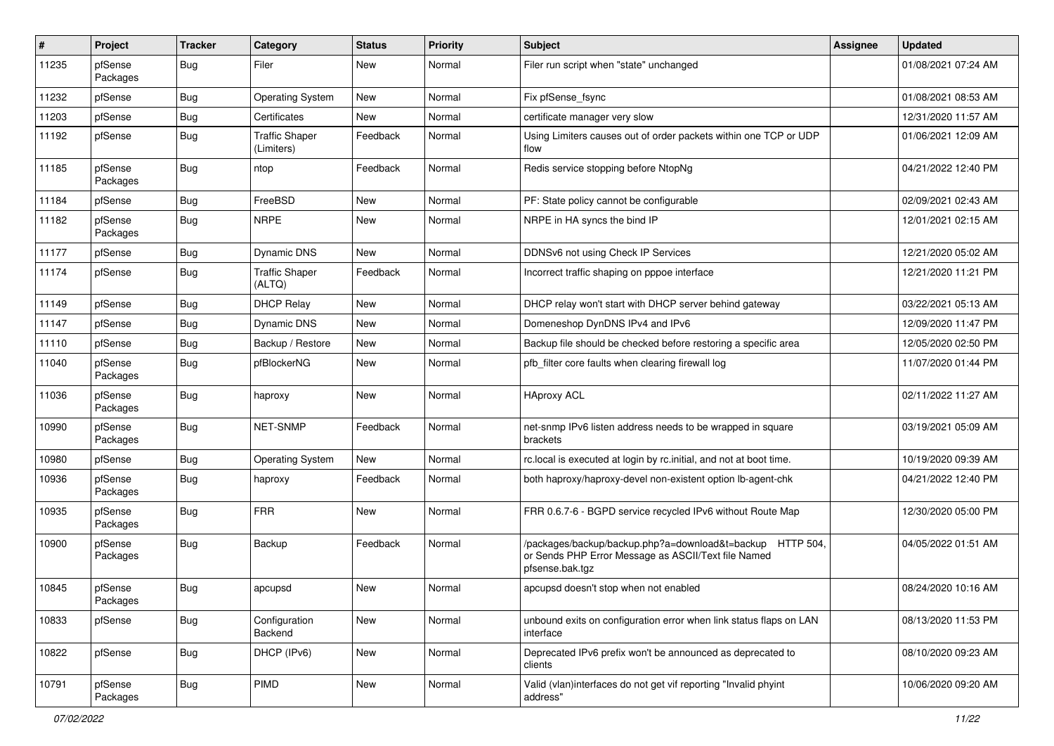| #     | Project             | <b>Tracker</b> | Category                            | <b>Status</b> | <b>Priority</b> | Subject                                                                                                                            | <b>Assignee</b> | <b>Updated</b>      |
|-------|---------------------|----------------|-------------------------------------|---------------|-----------------|------------------------------------------------------------------------------------------------------------------------------------|-----------------|---------------------|
| 11235 | pfSense<br>Packages | <b>Bug</b>     | Filer                               | New           | Normal          | Filer run script when "state" unchanged                                                                                            |                 | 01/08/2021 07:24 AM |
| 11232 | pfSense             | <b>Bug</b>     | <b>Operating System</b>             | New           | Normal          | Fix pfSense fsync                                                                                                                  |                 | 01/08/2021 08:53 AM |
| 11203 | pfSense             | <b>Bug</b>     | Certificates                        | New           | Normal          | certificate manager very slow                                                                                                      |                 | 12/31/2020 11:57 AM |
| 11192 | pfSense             | <b>Bug</b>     | <b>Traffic Shaper</b><br>(Limiters) | Feedback      | Normal          | Using Limiters causes out of order packets within one TCP or UDP<br>flow                                                           |                 | 01/06/2021 12:09 AM |
| 11185 | pfSense<br>Packages | <b>Bug</b>     | ntop                                | Feedback      | Normal          | Redis service stopping before NtopNg                                                                                               |                 | 04/21/2022 12:40 PM |
| 11184 | pfSense             | <b>Bug</b>     | FreeBSD                             | New           | Normal          | PF: State policy cannot be configurable                                                                                            |                 | 02/09/2021 02:43 AM |
| 11182 | pfSense<br>Packages | <b>Bug</b>     | <b>NRPE</b>                         | New           | Normal          | NRPE in HA syncs the bind IP                                                                                                       |                 | 12/01/2021 02:15 AM |
| 11177 | pfSense             | <b>Bug</b>     | <b>Dynamic DNS</b>                  | <b>New</b>    | Normal          | DDNSv6 not using Check IP Services                                                                                                 |                 | 12/21/2020 05:02 AM |
| 11174 | pfSense             | <b>Bug</b>     | <b>Traffic Shaper</b><br>(ALTQ)     | Feedback      | Normal          | Incorrect traffic shaping on pppoe interface                                                                                       |                 | 12/21/2020 11:21 PM |
| 11149 | pfSense             | <b>Bug</b>     | <b>DHCP Relay</b>                   | <b>New</b>    | Normal          | DHCP relay won't start with DHCP server behind gateway                                                                             |                 | 03/22/2021 05:13 AM |
| 11147 | pfSense             | <b>Bug</b>     | <b>Dynamic DNS</b>                  | <b>New</b>    | Normal          | Domeneshop DynDNS IPv4 and IPv6                                                                                                    |                 | 12/09/2020 11:47 PM |
| 11110 | pfSense             | <b>Bug</b>     | Backup / Restore                    | New           | Normal          | Backup file should be checked before restoring a specific area                                                                     |                 | 12/05/2020 02:50 PM |
| 11040 | pfSense<br>Packages | <b>Bug</b>     | pfBlockerNG                         | <b>New</b>    | Normal          | pfb filter core faults when clearing firewall log                                                                                  |                 | 11/07/2020 01:44 PM |
| 11036 | pfSense<br>Packages | <b>Bug</b>     | haproxy                             | <b>New</b>    | Normal          | <b>HAproxy ACL</b>                                                                                                                 |                 | 02/11/2022 11:27 AM |
| 10990 | pfSense<br>Packages | <b>Bug</b>     | <b>NET-SNMP</b>                     | Feedback      | Normal          | net-snmp IPv6 listen address needs to be wrapped in square<br>brackets                                                             |                 | 03/19/2021 05:09 AM |
| 10980 | pfSense             | <b>Bug</b>     | <b>Operating System</b>             | <b>New</b>    | Normal          | rc.local is executed at login by rc.initial, and not at boot time.                                                                 |                 | 10/19/2020 09:39 AM |
| 10936 | pfSense<br>Packages | <b>Bug</b>     | haproxy                             | Feedback      | Normal          | both haproxy/haproxy-devel non-existent option lb-agent-chk                                                                        |                 | 04/21/2022 12:40 PM |
| 10935 | pfSense<br>Packages | <b>Bug</b>     | <b>FRR</b>                          | New           | Normal          | FRR 0.6.7-6 - BGPD service recycled IPv6 without Route Map                                                                         |                 | 12/30/2020 05:00 PM |
| 10900 | pfSense<br>Packages | <b>Bug</b>     | Backup                              | Feedback      | Normal          | /packages/backup/backup.php?a=download&t=backup HTTP 504<br>or Sends PHP Error Message as ASCII/Text file Named<br>pfsense.bak.tgz |                 | 04/05/2022 01:51 AM |
| 10845 | pfSense<br>Packages | <b>Bug</b>     | apcupsd                             | New           | Normal          | apcupsd doesn't stop when not enabled                                                                                              |                 | 08/24/2020 10:16 AM |
| 10833 | pfSense             | Bug            | Configuration<br>Backend            | New           | Normal          | unbound exits on configuration error when link status flaps on LAN<br>interface                                                    |                 | 08/13/2020 11:53 PM |
| 10822 | pfSense             | <b>Bug</b>     | DHCP (IPv6)                         | New           | Normal          | Deprecated IPv6 prefix won't be announced as deprecated to<br>clients                                                              |                 | 08/10/2020 09:23 AM |
| 10791 | pfSense<br>Packages | Bug            | PIMD                                | New           | Normal          | Valid (vlan)interfaces do not get vif reporting "Invalid phyint<br>address"                                                        |                 | 10/06/2020 09:20 AM |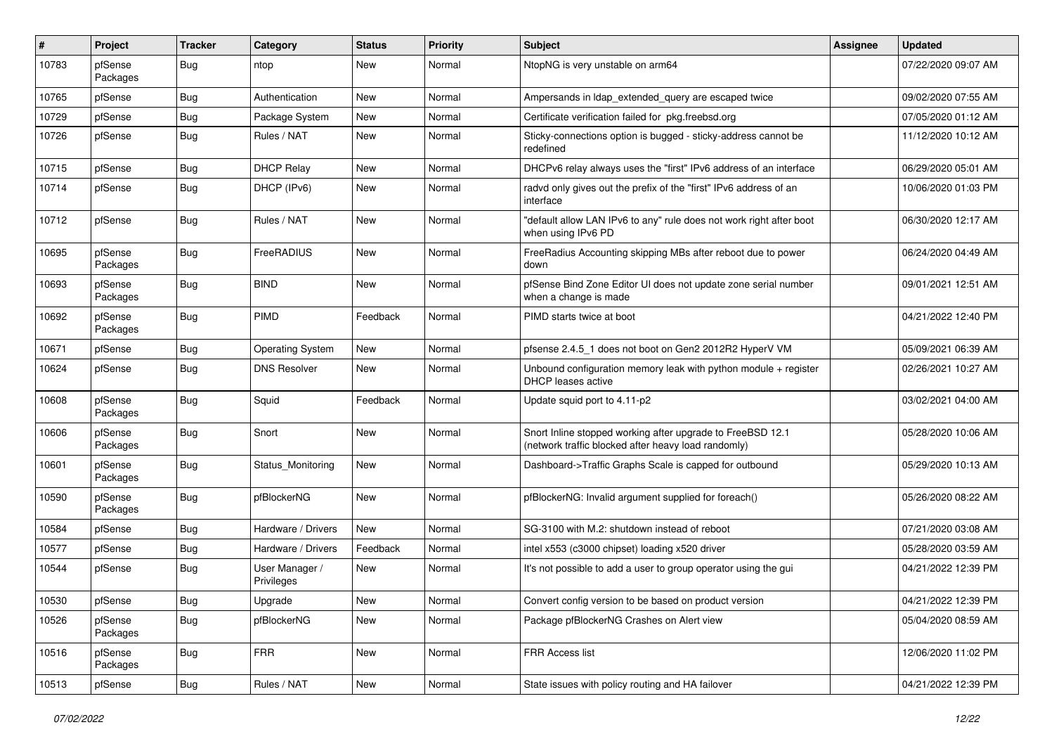| ∦     | Project             | <b>Tracker</b> | Category                     | <b>Status</b> | <b>Priority</b> | <b>Subject</b>                                                                                                    | <b>Assignee</b> | <b>Updated</b>      |
|-------|---------------------|----------------|------------------------------|---------------|-----------------|-------------------------------------------------------------------------------------------------------------------|-----------------|---------------------|
| 10783 | pfSense<br>Packages | <b>Bug</b>     | ntop                         | <b>New</b>    | Normal          | NtopNG is very unstable on arm64                                                                                  |                 | 07/22/2020 09:07 AM |
| 10765 | pfSense             | <b>Bug</b>     | Authentication               | <b>New</b>    | Normal          | Ampersands in Idap extended query are escaped twice                                                               |                 | 09/02/2020 07:55 AM |
| 10729 | pfSense             | <b>Bug</b>     | Package System               | <b>New</b>    | Normal          | Certificate verification failed for pkg.freebsd.org                                                               |                 | 07/05/2020 01:12 AM |
| 10726 | pfSense             | <b>Bug</b>     | Rules / NAT                  | <b>New</b>    | Normal          | Sticky-connections option is bugged - sticky-address cannot be<br>redefined                                       |                 | 11/12/2020 10:12 AM |
| 10715 | pfSense             | <b>Bug</b>     | <b>DHCP Relay</b>            | <b>New</b>    | Normal          | DHCPv6 relay always uses the "first" IPv6 address of an interface                                                 |                 | 06/29/2020 05:01 AM |
| 10714 | pfSense             | Bug            | DHCP (IPv6)                  | <b>New</b>    | Normal          | radvd only gives out the prefix of the "first" IPv6 address of an<br>interface                                    |                 | 10/06/2020 01:03 PM |
| 10712 | pfSense             | <b>Bug</b>     | Rules / NAT                  | <b>New</b>    | Normal          | "default allow LAN IPv6 to any" rule does not work right after boot<br>when using IPv6 PD                         |                 | 06/30/2020 12:17 AM |
| 10695 | pfSense<br>Packages | <b>Bug</b>     | FreeRADIUS                   | <b>New</b>    | Normal          | FreeRadius Accounting skipping MBs after reboot due to power<br>down                                              |                 | 06/24/2020 04:49 AM |
| 10693 | pfSense<br>Packages | Bug            | <b>BIND</b>                  | <b>New</b>    | Normal          | pfSense Bind Zone Editor UI does not update zone serial number<br>when a change is made                           |                 | 09/01/2021 12:51 AM |
| 10692 | pfSense<br>Packages | <b>Bug</b>     | PIMD                         | Feedback      | Normal          | PIMD starts twice at boot                                                                                         |                 | 04/21/2022 12:40 PM |
| 10671 | pfSense             | Bug            | <b>Operating System</b>      | <b>New</b>    | Normal          | pfsense 2.4.5_1 does not boot on Gen2 2012R2 HyperV VM                                                            |                 | 05/09/2021 06:39 AM |
| 10624 | pfSense             | Bug            | <b>DNS Resolver</b>          | <b>New</b>    | Normal          | Unbound configuration memory leak with python module $+$ register<br>DHCP leases active                           |                 | 02/26/2021 10:27 AM |
| 10608 | pfSense<br>Packages | <b>Bug</b>     | Squid                        | Feedback      | Normal          | Update squid port to 4.11-p2                                                                                      |                 | 03/02/2021 04:00 AM |
| 10606 | pfSense<br>Packages | <b>Bug</b>     | Snort                        | <b>New</b>    | Normal          | Snort Inline stopped working after upgrade to FreeBSD 12.1<br>(network traffic blocked after heavy load randomly) |                 | 05/28/2020 10:06 AM |
| 10601 | pfSense<br>Packages | <b>Bug</b>     | Status_Monitoring            | <b>New</b>    | Normal          | Dashboard->Traffic Graphs Scale is capped for outbound                                                            |                 | 05/29/2020 10:13 AM |
| 10590 | pfSense<br>Packages | <b>Bug</b>     | pfBlockerNG                  | <b>New</b>    | Normal          | pfBlockerNG: Invalid argument supplied for foreach()                                                              |                 | 05/26/2020 08:22 AM |
| 10584 | pfSense             | <b>Bug</b>     | Hardware / Drivers           | <b>New</b>    | Normal          | SG-3100 with M.2: shutdown instead of reboot                                                                      |                 | 07/21/2020 03:08 AM |
| 10577 | pfSense             | <b>Bug</b>     | Hardware / Drivers           | Feedback      | Normal          | intel x553 (c3000 chipset) loading x520 driver                                                                    |                 | 05/28/2020 03:59 AM |
| 10544 | pfSense             | <b>Bug</b>     | User Manager /<br>Privileges | <b>New</b>    | Normal          | It's not possible to add a user to group operator using the gui                                                   |                 | 04/21/2022 12:39 PM |
| 10530 | pfSense             | Bug            | Upgrade                      | New           | Normal          | Convert config version to be based on product version                                                             |                 | 04/21/2022 12:39 PM |
| 10526 | pfSense<br>Packages | Bug            | pfBlockerNG                  | New           | Normal          | Package pfBlockerNG Crashes on Alert view                                                                         |                 | 05/04/2020 08:59 AM |
| 10516 | pfSense<br>Packages | <b>Bug</b>     | <b>FRR</b>                   | New           | Normal          | FRR Access list                                                                                                   |                 | 12/06/2020 11:02 PM |
| 10513 | pfSense             | Bug            | Rules / NAT                  | New           | Normal          | State issues with policy routing and HA failover                                                                  |                 | 04/21/2022 12:39 PM |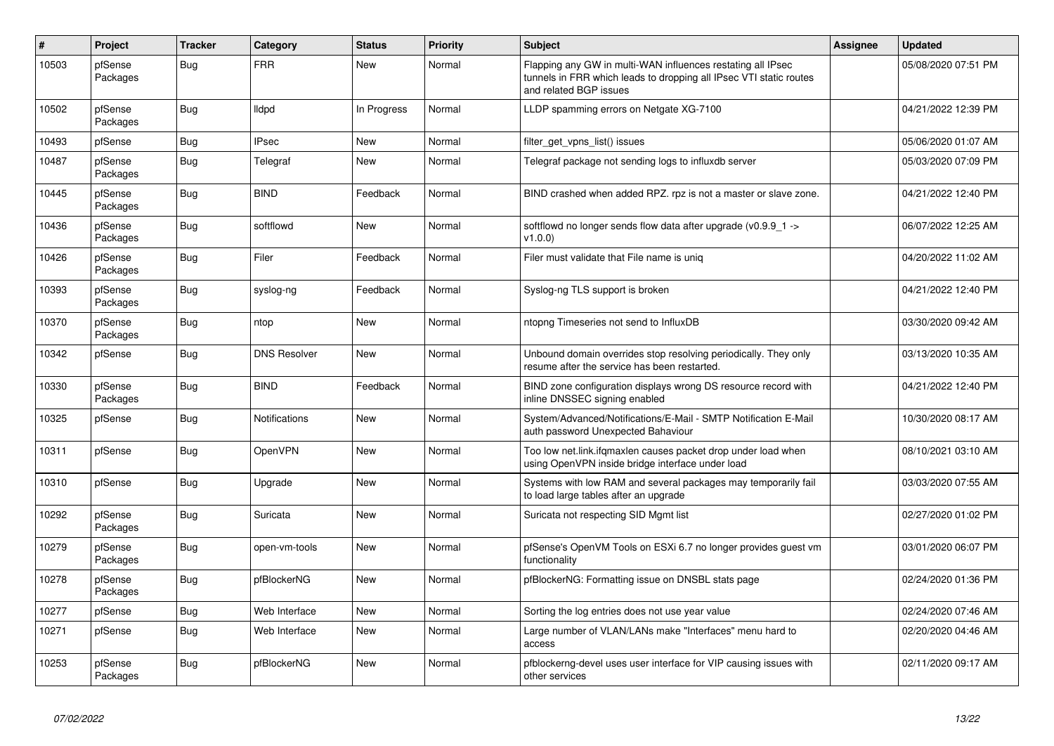| $\vert$ # | Project             | <b>Tracker</b> | Category             | <b>Status</b> | <b>Priority</b> | <b>Subject</b>                                                                                                                                              | <b>Assignee</b> | <b>Updated</b>      |
|-----------|---------------------|----------------|----------------------|---------------|-----------------|-------------------------------------------------------------------------------------------------------------------------------------------------------------|-----------------|---------------------|
| 10503     | pfSense<br>Packages | Bug            | <b>FRR</b>           | <b>New</b>    | Normal          | Flapping any GW in multi-WAN influences restating all IPsec<br>tunnels in FRR which leads to dropping all IPsec VTI static routes<br>and related BGP issues |                 | 05/08/2020 07:51 PM |
| 10502     | pfSense<br>Packages | <b>Bug</b>     | lldpd                | In Progress   | Normal          | LLDP spamming errors on Netgate XG-7100                                                                                                                     |                 | 04/21/2022 12:39 PM |
| 10493     | pfSense             | <b>Bug</b>     | <b>IPsec</b>         | <b>New</b>    | Normal          | filter_get_vpns_list() issues                                                                                                                               |                 | 05/06/2020 01:07 AM |
| 10487     | pfSense<br>Packages | Bug            | Telegraf             | <b>New</b>    | Normal          | Telegraf package not sending logs to influxdb server                                                                                                        |                 | 05/03/2020 07:09 PM |
| 10445     | pfSense<br>Packages | <b>Bug</b>     | <b>BIND</b>          | Feedback      | Normal          | BIND crashed when added RPZ. rpz is not a master or slave zone.                                                                                             |                 | 04/21/2022 12:40 PM |
| 10436     | pfSense<br>Packages | Bug            | softflowd            | <b>New</b>    | Normal          | softflowd no longer sends flow data after upgrade ( $v0.9.9$ 1 -><br>v1.0.0                                                                                 |                 | 06/07/2022 12:25 AM |
| 10426     | pfSense<br>Packages | <b>Bug</b>     | Filer                | Feedback      | Normal          | Filer must validate that File name is uniq                                                                                                                  |                 | 04/20/2022 11:02 AM |
| 10393     | pfSense<br>Packages | Bug            | syslog-ng            | Feedback      | Normal          | Syslog-ng TLS support is broken                                                                                                                             |                 | 04/21/2022 12:40 PM |
| 10370     | pfSense<br>Packages | <b>Bug</b>     | ntop                 | <b>New</b>    | Normal          | ntopng Timeseries not send to InfluxDB                                                                                                                      |                 | 03/30/2020 09:42 AM |
| 10342     | pfSense             | <b>Bug</b>     | <b>DNS Resolver</b>  | <b>New</b>    | Normal          | Unbound domain overrides stop resolving periodically. They only<br>resume after the service has been restarted.                                             |                 | 03/13/2020 10:35 AM |
| 10330     | pfSense<br>Packages | Bug            | <b>BIND</b>          | Feedback      | Normal          | BIND zone configuration displays wrong DS resource record with<br>inline DNSSEC signing enabled                                                             |                 | 04/21/2022 12:40 PM |
| 10325     | pfSense             | <b>Bug</b>     | <b>Notifications</b> | <b>New</b>    | Normal          | System/Advanced/Notifications/E-Mail - SMTP Notification E-Mail<br>auth password Unexpected Bahaviour                                                       |                 | 10/30/2020 08:17 AM |
| 10311     | pfSense             | <b>Bug</b>     | OpenVPN              | <b>New</b>    | Normal          | Too low net.link.ifqmaxlen causes packet drop under load when<br>using OpenVPN inside bridge interface under load                                           |                 | 08/10/2021 03:10 AM |
| 10310     | pfSense             | <b>Bug</b>     | Upgrade              | <b>New</b>    | Normal          | Systems with low RAM and several packages may temporarily fail<br>to load large tables after an upgrade                                                     |                 | 03/03/2020 07:55 AM |
| 10292     | pfSense<br>Packages | <b>Bug</b>     | Suricata             | <b>New</b>    | Normal          | Suricata not respecting SID Mgmt list                                                                                                                       |                 | 02/27/2020 01:02 PM |
| 10279     | pfSense<br>Packages | <b>Bug</b>     | open-vm-tools        | <b>New</b>    | Normal          | pfSense's OpenVM Tools on ESXi 6.7 no longer provides guest vm<br>functionality                                                                             |                 | 03/01/2020 06:07 PM |
| 10278     | pfSense<br>Packages | Bug            | pfBlockerNG          | <b>New</b>    | Normal          | pfBlockerNG: Formatting issue on DNSBL stats page                                                                                                           |                 | 02/24/2020 01:36 PM |
| 10277     | pfSense             | <b>Bug</b>     | Web Interface        | <b>New</b>    | Normal          | Sorting the log entries does not use year value                                                                                                             |                 | 02/24/2020 07:46 AM |
| 10271     | pfSense             | <b>Bug</b>     | Web Interface        | <b>New</b>    | Normal          | Large number of VLAN/LANs make "Interfaces" menu hard to<br>access                                                                                          |                 | 02/20/2020 04:46 AM |
| 10253     | pfSense<br>Packages | Bug            | pfBlockerNG          | <b>New</b>    | Normal          | pfblockerng-devel uses user interface for VIP causing issues with<br>other services                                                                         |                 | 02/11/2020 09:17 AM |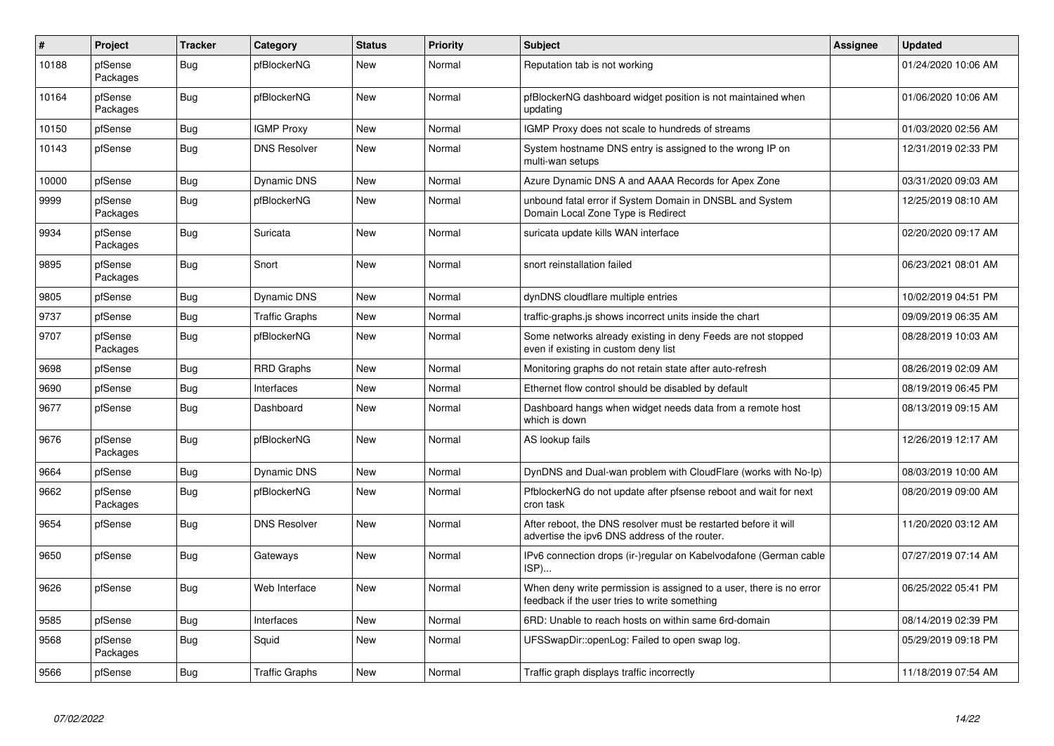| #     | Project             | <b>Tracker</b> | Category              | <b>Status</b> | <b>Priority</b> | <b>Subject</b>                                                                                                       | Assignee | <b>Updated</b>      |
|-------|---------------------|----------------|-----------------------|---------------|-----------------|----------------------------------------------------------------------------------------------------------------------|----------|---------------------|
| 10188 | pfSense<br>Packages | Bug            | pfBlockerNG           | <b>New</b>    | Normal          | Reputation tab is not working                                                                                        |          | 01/24/2020 10:06 AM |
| 10164 | pfSense<br>Packages | Bug            | pfBlockerNG           | <b>New</b>    | Normal          | pfBlockerNG dashboard widget position is not maintained when<br>updating                                             |          | 01/06/2020 10:06 AM |
| 10150 | pfSense             | Bug            | <b>IGMP Proxy</b>     | <b>New</b>    | Normal          | IGMP Proxy does not scale to hundreds of streams                                                                     |          | 01/03/2020 02:56 AM |
| 10143 | pfSense             | Bug            | <b>DNS Resolver</b>   | <b>New</b>    | Normal          | System hostname DNS entry is assigned to the wrong IP on<br>multi-wan setups                                         |          | 12/31/2019 02:33 PM |
| 10000 | pfSense             | <b>Bug</b>     | <b>Dynamic DNS</b>    | <b>New</b>    | Normal          | Azure Dynamic DNS A and AAAA Records for Apex Zone                                                                   |          | 03/31/2020 09:03 AM |
| 9999  | pfSense<br>Packages | Bug            | pfBlockerNG           | <b>New</b>    | Normal          | unbound fatal error if System Domain in DNSBL and System<br>Domain Local Zone Type is Redirect                       |          | 12/25/2019 08:10 AM |
| 9934  | pfSense<br>Packages | <b>Bug</b>     | Suricata              | <b>New</b>    | Normal          | suricata update kills WAN interface                                                                                  |          | 02/20/2020 09:17 AM |
| 9895  | pfSense<br>Packages | Bug            | Snort                 | <b>New</b>    | Normal          | snort reinstallation failed                                                                                          |          | 06/23/2021 08:01 AM |
| 9805  | pfSense             | Bug            | Dynamic DNS           | <b>New</b>    | Normal          | dynDNS cloudflare multiple entries                                                                                   |          | 10/02/2019 04:51 PM |
| 9737  | pfSense             | Bug            | <b>Traffic Graphs</b> | <b>New</b>    | Normal          | traffic-graphs.js shows incorrect units inside the chart                                                             |          | 09/09/2019 06:35 AM |
| 9707  | pfSense<br>Packages | <b>Bug</b>     | pfBlockerNG           | <b>New</b>    | Normal          | Some networks already existing in deny Feeds are not stopped<br>even if existing in custom deny list                 |          | 08/28/2019 10:03 AM |
| 9698  | pfSense             | Bug            | <b>RRD Graphs</b>     | <b>New</b>    | Normal          | Monitoring graphs do not retain state after auto-refresh                                                             |          | 08/26/2019 02:09 AM |
| 9690  | pfSense             | <b>Bug</b>     | Interfaces            | <b>New</b>    | Normal          | Ethernet flow control should be disabled by default                                                                  |          | 08/19/2019 06:45 PM |
| 9677  | pfSense             | <b>Bug</b>     | Dashboard             | <b>New</b>    | Normal          | Dashboard hangs when widget needs data from a remote host<br>which is down                                           |          | 08/13/2019 09:15 AM |
| 9676  | pfSense<br>Packages | <b>Bug</b>     | pfBlockerNG           | <b>New</b>    | Normal          | AS lookup fails                                                                                                      |          | 12/26/2019 12:17 AM |
| 9664  | pfSense             | <b>Bug</b>     | <b>Dynamic DNS</b>    | <b>New</b>    | Normal          | DynDNS and Dual-wan problem with CloudFlare (works with No-Ip)                                                       |          | 08/03/2019 10:00 AM |
| 9662  | pfSense<br>Packages | <b>Bug</b>     | pfBlockerNG           | <b>New</b>    | Normal          | PfblockerNG do not update after pfsense reboot and wait for next<br>cron task                                        |          | 08/20/2019 09:00 AM |
| 9654  | pfSense             | Bug            | <b>DNS Resolver</b>   | <b>New</b>    | Normal          | After reboot, the DNS resolver must be restarted before it will<br>advertise the ipv6 DNS address of the router.     |          | 11/20/2020 03:12 AM |
| 9650  | pfSense             | <b>Bug</b>     | Gateways              | <b>New</b>    | Normal          | IPv6 connection drops (ir-)regular on Kabelvodafone (German cable<br>ISP)                                            |          | 07/27/2019 07:14 AM |
| 9626  | pfSense             | Bug            | Web Interface         | <b>New</b>    | Normal          | When deny write permission is assigned to a user, there is no error<br>feedback if the user tries to write something |          | 06/25/2022 05:41 PM |
| 9585  | pfSense             | <b>Bug</b>     | Interfaces            | <b>New</b>    | Normal          | 6RD: Unable to reach hosts on within same 6rd-domain                                                                 |          | 08/14/2019 02:39 PM |
| 9568  | pfSense<br>Packages | Bug            | Squid                 | <b>New</b>    | Normal          | UFSSwapDir::openLog: Failed to open swap log.                                                                        |          | 05/29/2019 09:18 PM |
| 9566  | pfSense             | Bug            | <b>Traffic Graphs</b> | <b>New</b>    | Normal          | Traffic graph displays traffic incorrectly                                                                           |          | 11/18/2019 07:54 AM |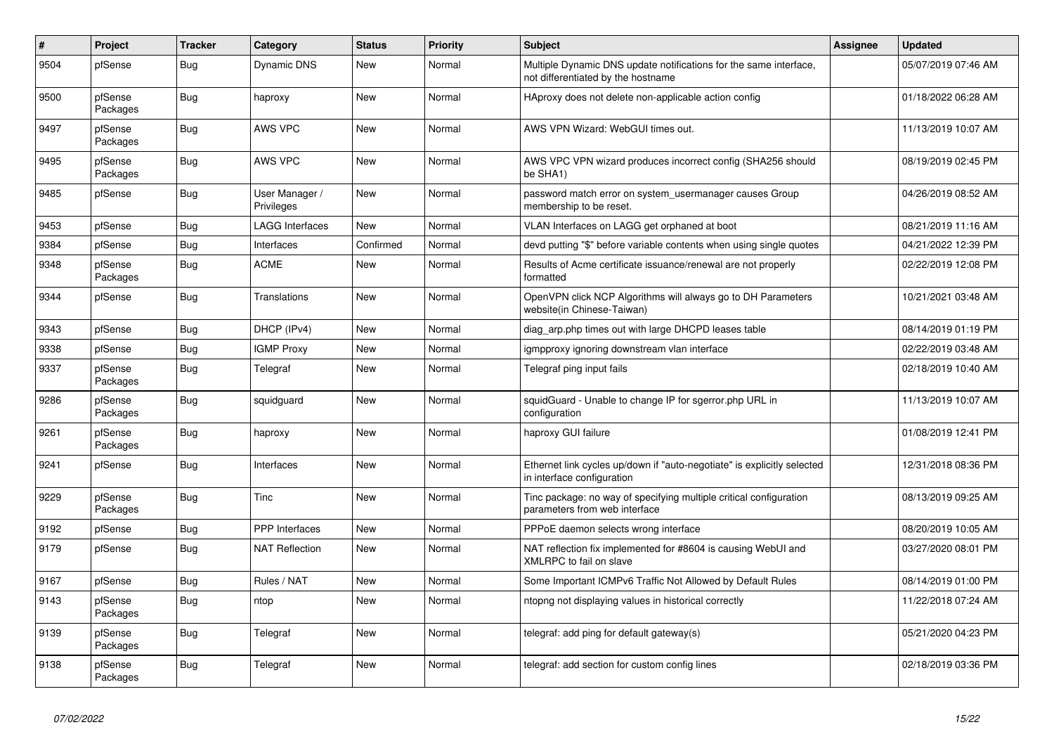| #    | Project             | <b>Tracker</b> | Category                     | <b>Status</b> | <b>Priority</b> | <b>Subject</b>                                                                                          | <b>Assignee</b> | <b>Updated</b>      |
|------|---------------------|----------------|------------------------------|---------------|-----------------|---------------------------------------------------------------------------------------------------------|-----------------|---------------------|
| 9504 | pfSense             | Bug            | <b>Dynamic DNS</b>           | New           | Normal          | Multiple Dynamic DNS update notifications for the same interface,<br>not differentiated by the hostname |                 | 05/07/2019 07:46 AM |
| 9500 | pfSense<br>Packages | <b>Bug</b>     | haproxy                      | <b>New</b>    | Normal          | HAproxy does not delete non-applicable action config                                                    |                 | 01/18/2022 06:28 AM |
| 9497 | pfSense<br>Packages | <b>Bug</b>     | <b>AWS VPC</b>               | <b>New</b>    | Normal          | AWS VPN Wizard: WebGUI times out.                                                                       |                 | 11/13/2019 10:07 AM |
| 9495 | pfSense<br>Packages | <b>Bug</b>     | <b>AWS VPC</b>               | <b>New</b>    | Normal          | AWS VPC VPN wizard produces incorrect config (SHA256 should<br>be SHA1)                                 |                 | 08/19/2019 02:45 PM |
| 9485 | pfSense             | <b>Bug</b>     | User Manager /<br>Privileges | <b>New</b>    | Normal          | password match error on system usermanager causes Group<br>membership to be reset.                      |                 | 04/26/2019 08:52 AM |
| 9453 | pfSense             | Bug            | <b>LAGG Interfaces</b>       | <b>New</b>    | Normal          | VLAN Interfaces on LAGG get orphaned at boot                                                            |                 | 08/21/2019 11:16 AM |
| 9384 | pfSense             | <b>Bug</b>     | Interfaces                   | Confirmed     | Normal          | devd putting "\$" before variable contents when using single quotes                                     |                 | 04/21/2022 12:39 PM |
| 9348 | pfSense<br>Packages | Bug            | <b>ACME</b>                  | <b>New</b>    | Normal          | Results of Acme certificate issuance/renewal are not properly<br>formatted                              |                 | 02/22/2019 12:08 PM |
| 9344 | pfSense             | <b>Bug</b>     | Translations                 | <b>New</b>    | Normal          | OpenVPN click NCP Algorithms will always go to DH Parameters<br>website(in Chinese-Taiwan)              |                 | 10/21/2021 03:48 AM |
| 9343 | pfSense             | <b>Bug</b>     | DHCP (IPv4)                  | <b>New</b>    | Normal          | diag_arp.php times out with large DHCPD leases table                                                    |                 | 08/14/2019 01:19 PM |
| 9338 | pfSense             | Bug            | <b>IGMP Proxy</b>            | <b>New</b>    | Normal          | igmpproxy ignoring downstream vlan interface                                                            |                 | 02/22/2019 03:48 AM |
| 9337 | pfSense<br>Packages | Bug            | Telegraf                     | <b>New</b>    | Normal          | Telegraf ping input fails                                                                               |                 | 02/18/2019 10:40 AM |
| 9286 | pfSense<br>Packages | Bug            | squidguard                   | <b>New</b>    | Normal          | squidGuard - Unable to change IP for sgerror.php URL in<br>configuration                                |                 | 11/13/2019 10:07 AM |
| 9261 | pfSense<br>Packages | <b>Bug</b>     | haproxy                      | <b>New</b>    | Normal          | haproxy GUI failure                                                                                     |                 | 01/08/2019 12:41 PM |
| 9241 | pfSense             | Bug            | Interfaces                   | <b>New</b>    | Normal          | Ethernet link cycles up/down if "auto-negotiate" is explicitly selected<br>in interface configuration   |                 | 12/31/2018 08:36 PM |
| 9229 | pfSense<br>Packages | <b>Bug</b>     | Tinc                         | <b>New</b>    | Normal          | Tinc package: no way of specifying multiple critical configuration<br>parameters from web interface     |                 | 08/13/2019 09:25 AM |
| 9192 | pfSense             | <b>Bug</b>     | <b>PPP</b> Interfaces        | <b>New</b>    | Normal          | PPPoE daemon selects wrong interface                                                                    |                 | 08/20/2019 10:05 AM |
| 9179 | pfSense             | Bug            | <b>NAT Reflection</b>        | <b>New</b>    | Normal          | NAT reflection fix implemented for #8604 is causing WebUI and<br>XMLRPC to fail on slave                |                 | 03/27/2020 08:01 PM |
| 9167 | pfSense             | Bug            | Rules / NAT                  | <b>New</b>    | Normal          | Some Important ICMPv6 Traffic Not Allowed by Default Rules                                              |                 | 08/14/2019 01:00 PM |
| 9143 | pfSense<br>Packages | Bug            | ntop                         | <b>New</b>    | Normal          | ntopng not displaying values in historical correctly                                                    |                 | 11/22/2018 07:24 AM |
| 9139 | pfSense<br>Packages | Bug            | Telegraf                     | New           | Normal          | telegraf: add ping for default gateway(s)                                                               |                 | 05/21/2020 04:23 PM |
| 9138 | pfSense<br>Packages | <b>Bug</b>     | Telegraf                     | <b>New</b>    | Normal          | telegraf: add section for custom config lines                                                           |                 | 02/18/2019 03:36 PM |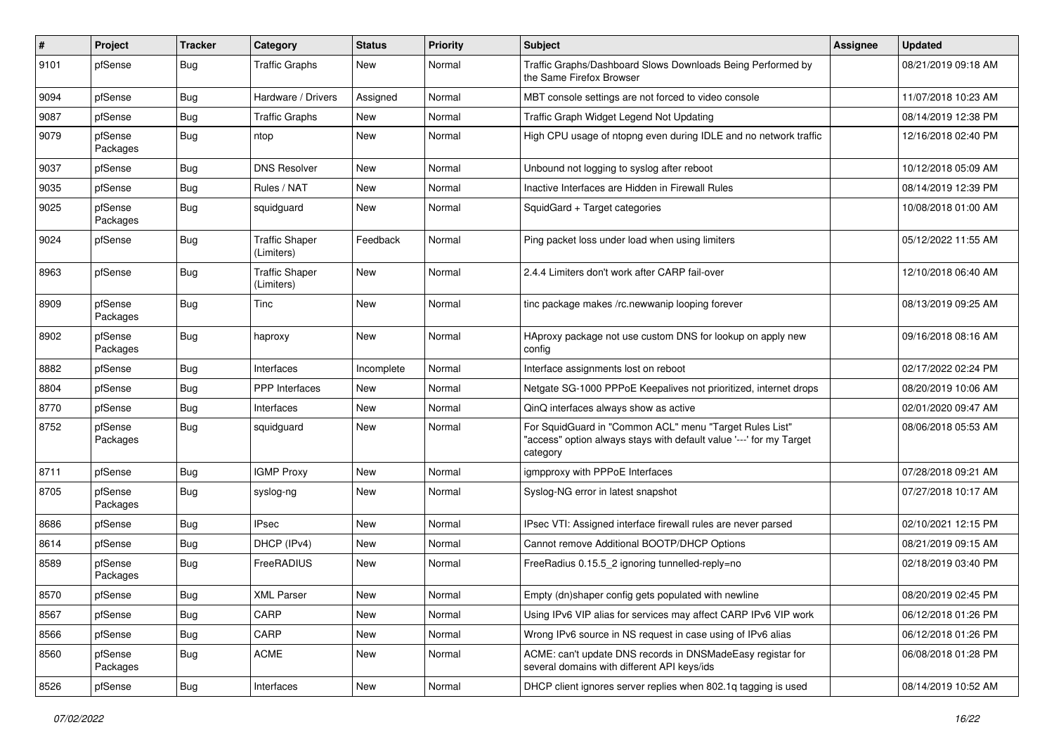| #    | Project             | <b>Tracker</b> | Category                            | <b>Status</b> | <b>Priority</b> | <b>Subject</b>                                                                                                                             | <b>Assignee</b> | <b>Updated</b>      |
|------|---------------------|----------------|-------------------------------------|---------------|-----------------|--------------------------------------------------------------------------------------------------------------------------------------------|-----------------|---------------------|
| 9101 | pfSense             | Bug            | <b>Traffic Graphs</b>               | <b>New</b>    | Normal          | Traffic Graphs/Dashboard Slows Downloads Being Performed by<br>the Same Firefox Browser                                                    |                 | 08/21/2019 09:18 AM |
| 9094 | pfSense             | <b>Bug</b>     | Hardware / Drivers                  | Assigned      | Normal          | MBT console settings are not forced to video console                                                                                       |                 | 11/07/2018 10:23 AM |
| 9087 | pfSense             | <b>Bug</b>     | <b>Traffic Graphs</b>               | New           | Normal          | Traffic Graph Widget Legend Not Updating                                                                                                   |                 | 08/14/2019 12:38 PM |
| 9079 | pfSense<br>Packages | <b>Bug</b>     | ntop                                | <b>New</b>    | Normal          | High CPU usage of ntopng even during IDLE and no network traffic                                                                           |                 | 12/16/2018 02:40 PM |
| 9037 | pfSense             | <b>Bug</b>     | <b>DNS Resolver</b>                 | <b>New</b>    | Normal          | Unbound not logging to syslog after reboot                                                                                                 |                 | 10/12/2018 05:09 AM |
| 9035 | pfSense             | <b>Bug</b>     | Rules / NAT                         | New           | Normal          | Inactive Interfaces are Hidden in Firewall Rules                                                                                           |                 | 08/14/2019 12:39 PM |
| 9025 | pfSense<br>Packages | Bug            | squidguard                          | New           | Normal          | SquidGard + Target categories                                                                                                              |                 | 10/08/2018 01:00 AM |
| 9024 | pfSense             | <b>Bug</b>     | <b>Traffic Shaper</b><br>(Limiters) | Feedback      | Normal          | Ping packet loss under load when using limiters                                                                                            |                 | 05/12/2022 11:55 AM |
| 8963 | pfSense             | <b>Bug</b>     | <b>Traffic Shaper</b><br>(Limiters) | New           | Normal          | 2.4.4 Limiters don't work after CARP fail-over                                                                                             |                 | 12/10/2018 06:40 AM |
| 8909 | pfSense<br>Packages | Bug            | Tinc                                | New           | Normal          | tinc package makes /rc.newwanip looping forever                                                                                            |                 | 08/13/2019 09:25 AM |
| 8902 | pfSense<br>Packages | Bug            | haproxy                             | New           | Normal          | HAproxy package not use custom DNS for lookup on apply new<br>config                                                                       |                 | 09/16/2018 08:16 AM |
| 8882 | pfSense             | Bug            | Interfaces                          | Incomplete    | Normal          | Interface assignments lost on reboot                                                                                                       |                 | 02/17/2022 02:24 PM |
| 8804 | pfSense             | <b>Bug</b>     | <b>PPP</b> Interfaces               | <b>New</b>    | Normal          | Netgate SG-1000 PPPoE Keepalives not prioritized, internet drops                                                                           |                 | 08/20/2019 10:06 AM |
| 8770 | pfSense             | <b>Bug</b>     | Interfaces                          | <b>New</b>    | Normal          | QinQ interfaces always show as active                                                                                                      |                 | 02/01/2020 09:47 AM |
| 8752 | pfSense<br>Packages | Bug            | squidguard                          | New           | Normal          | For SquidGuard in "Common ACL" menu "Target Rules List"<br>"access" option always stays with default value '---' for my Target<br>category |                 | 08/06/2018 05:53 AM |
| 8711 | pfSense             | Bug            | <b>IGMP Proxy</b>                   | <b>New</b>    | Normal          | igmpproxy with PPPoE Interfaces                                                                                                            |                 | 07/28/2018 09:21 AM |
| 8705 | pfSense<br>Packages | <b>Bug</b>     | syslog-ng                           | New           | Normal          | Syslog-NG error in latest snapshot                                                                                                         |                 | 07/27/2018 10:17 AM |
| 8686 | pfSense             | Bug            | <b>IPsec</b>                        | <b>New</b>    | Normal          | IPsec VTI: Assigned interface firewall rules are never parsed                                                                              |                 | 02/10/2021 12:15 PM |
| 8614 | pfSense             | <b>Bug</b>     | DHCP (IPv4)                         | <b>New</b>    | Normal          | Cannot remove Additional BOOTP/DHCP Options                                                                                                |                 | 08/21/2019 09:15 AM |
| 8589 | pfSense<br>Packages | Bug            | FreeRADIUS                          | New           | Normal          | FreeRadius 0.15.5_2 ignoring tunnelled-reply=no                                                                                            |                 | 02/18/2019 03:40 PM |
| 8570 | pfSense             | Bug            | <b>XML Parser</b>                   | New           | Normal          | Empty (dn)shaper config gets populated with newline                                                                                        |                 | 08/20/2019 02:45 PM |
| 8567 | pfSense             | <b>Bug</b>     | CARP                                | New           | Normal          | Using IPv6 VIP alias for services may affect CARP IPv6 VIP work                                                                            |                 | 06/12/2018 01:26 PM |
| 8566 | pfSense             | <b>Bug</b>     | CARP                                | New           | Normal          | Wrong IPv6 source in NS request in case using of IPv6 alias                                                                                |                 | 06/12/2018 01:26 PM |
| 8560 | pfSense<br>Packages | <b>Bug</b>     | <b>ACME</b>                         | New           | Normal          | ACME: can't update DNS records in DNSMadeEasy registar for<br>several domains with different API keys/ids                                  |                 | 06/08/2018 01:28 PM |
| 8526 | pfSense             | <b>Bug</b>     | Interfaces                          | New           | Normal          | DHCP client ignores server replies when 802.1q tagging is used                                                                             |                 | 08/14/2019 10:52 AM |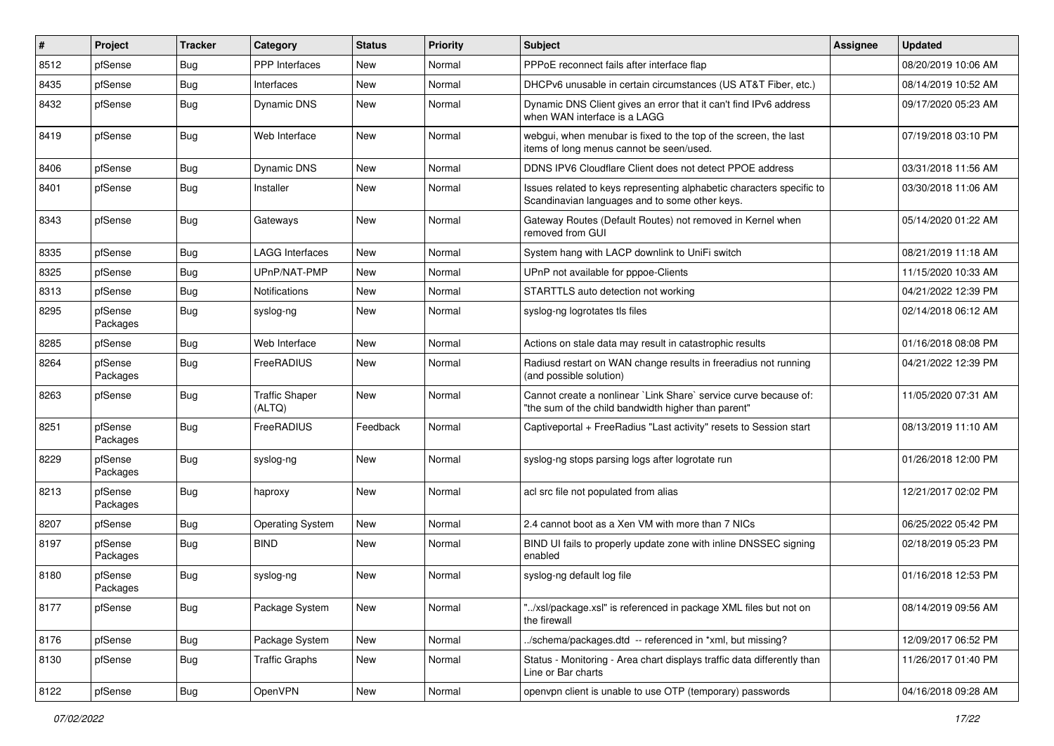| #    | Project             | <b>Tracker</b> | Category                        | <b>Status</b> | <b>Priority</b> | <b>Subject</b>                                                                                                          | <b>Assignee</b> | <b>Updated</b>      |
|------|---------------------|----------------|---------------------------------|---------------|-----------------|-------------------------------------------------------------------------------------------------------------------------|-----------------|---------------------|
| 8512 | pfSense             | <b>Bug</b>     | PPP Interfaces                  | <b>New</b>    | Normal          | PPPoE reconnect fails after interface flap                                                                              |                 | 08/20/2019 10:06 AM |
| 8435 | pfSense             | <b>Bug</b>     | Interfaces                      | <b>New</b>    | Normal          | DHCPv6 unusable in certain circumstances (US AT&T Fiber, etc.)                                                          |                 | 08/14/2019 10:52 AM |
| 8432 | pfSense             | <b>Bug</b>     | Dynamic DNS                     | <b>New</b>    | Normal          | Dynamic DNS Client gives an error that it can't find IPv6 address<br>when WAN interface is a LAGG                       |                 | 09/17/2020 05:23 AM |
| 8419 | pfSense             | <b>Bug</b>     | Web Interface                   | <b>New</b>    | Normal          | webgui, when menubar is fixed to the top of the screen, the last<br>items of long menus cannot be seen/used.            |                 | 07/19/2018 03:10 PM |
| 8406 | pfSense             | Bug            | Dynamic DNS                     | <b>New</b>    | Normal          | DDNS IPV6 Cloudflare Client does not detect PPOE address                                                                |                 | 03/31/2018 11:56 AM |
| 8401 | pfSense             | Bug            | Installer                       | <b>New</b>    | Normal          | Issues related to keys representing alphabetic characters specific to<br>Scandinavian languages and to some other keys. |                 | 03/30/2018 11:06 AM |
| 8343 | pfSense             | <b>Bug</b>     | Gateways                        | <b>New</b>    | Normal          | Gateway Routes (Default Routes) not removed in Kernel when<br>removed from GUI                                          |                 | 05/14/2020 01:22 AM |
| 8335 | pfSense             | <b>Bug</b>     | <b>LAGG Interfaces</b>          | <b>New</b>    | Normal          | System hang with LACP downlink to UniFi switch                                                                          |                 | 08/21/2019 11:18 AM |
| 8325 | pfSense             | <b>Bug</b>     | UPnP/NAT-PMP                    | <b>New</b>    | Normal          | UPnP not available for pppoe-Clients                                                                                    |                 | 11/15/2020 10:33 AM |
| 8313 | pfSense             | <b>Bug</b>     | <b>Notifications</b>            | <b>New</b>    | Normal          | STARTTLS auto detection not working                                                                                     |                 | 04/21/2022 12:39 PM |
| 8295 | pfSense<br>Packages | <b>Bug</b>     | syslog-ng                       | <b>New</b>    | Normal          | syslog-ng logrotates tls files                                                                                          |                 | 02/14/2018 06:12 AM |
| 8285 | pfSense             | Bug            | Web Interface                   | <b>New</b>    | Normal          | Actions on stale data may result in catastrophic results                                                                |                 | 01/16/2018 08:08 PM |
| 8264 | pfSense<br>Packages | <b>Bug</b>     | FreeRADIUS                      | <b>New</b>    | Normal          | Radiusd restart on WAN change results in freeradius not running<br>(and possible solution)                              |                 | 04/21/2022 12:39 PM |
| 8263 | pfSense             | Bug            | <b>Traffic Shaper</b><br>(ALTQ) | <b>New</b>    | Normal          | Cannot create a nonlinear `Link Share` service curve because of:<br>"the sum of the child bandwidth higher than parent" |                 | 11/05/2020 07:31 AM |
| 8251 | pfSense<br>Packages | Bug            | FreeRADIUS                      | Feedback      | Normal          | Captiveportal + FreeRadius "Last activity" resets to Session start                                                      |                 | 08/13/2019 11:10 AM |
| 8229 | pfSense<br>Packages | Bug            | syslog-ng                       | <b>New</b>    | Normal          | syslog-ng stops parsing logs after logrotate run                                                                        |                 | 01/26/2018 12:00 PM |
| 8213 | pfSense<br>Packages | <b>Bug</b>     | haproxy                         | <b>New</b>    | Normal          | acl src file not populated from alias                                                                                   |                 | 12/21/2017 02:02 PM |
| 8207 | pfSense             | <b>Bug</b>     | <b>Operating System</b>         | <b>New</b>    | Normal          | 2.4 cannot boot as a Xen VM with more than 7 NICs                                                                       |                 | 06/25/2022 05:42 PM |
| 8197 | pfSense<br>Packages | Bug            | <b>BIND</b>                     | <b>New</b>    | Normal          | BIND UI fails to properly update zone with inline DNSSEC signing<br>enabled                                             |                 | 02/18/2019 05:23 PM |
| 8180 | pfSense<br>Packages | Bug            | syslog-ng                       | New           | Normal          | syslog-ng default log file                                                                                              |                 | 01/16/2018 12:53 PM |
| 8177 | pfSense             | <b>Bug</b>     | Package System                  | New           | Normal          | "/xsl/package.xsl" is referenced in package XML files but not on<br>the firewall                                        |                 | 08/14/2019 09:56 AM |
| 8176 | pfSense             | <b>Bug</b>     | Package System                  | New           | Normal          | ./schema/packages.dtd -- referenced in *xml, but missing?                                                               |                 | 12/09/2017 06:52 PM |
| 8130 | pfSense             | Bug            | <b>Traffic Graphs</b>           | New           | Normal          | Status - Monitoring - Area chart displays traffic data differently than<br>Line or Bar charts                           |                 | 11/26/2017 01:40 PM |
| 8122 | pfSense             | Bug            | OpenVPN                         | New           | Normal          | openvpn client is unable to use OTP (temporary) passwords                                                               |                 | 04/16/2018 09:28 AM |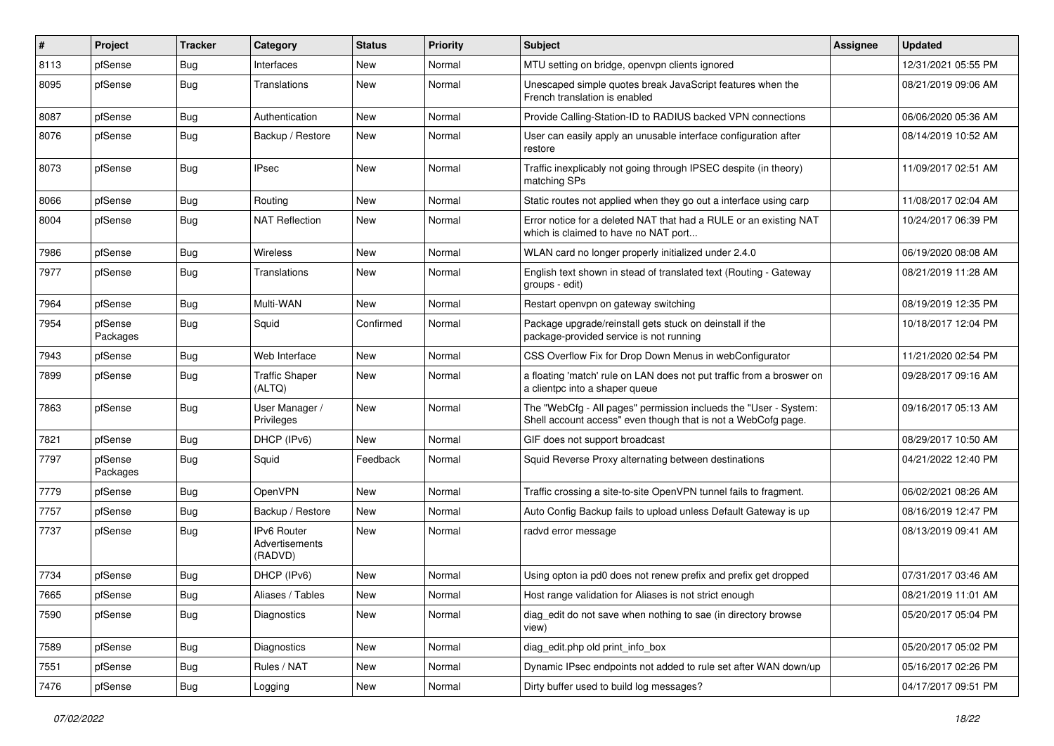| #    | Project             | <b>Tracker</b> | Category                                 | <b>Status</b> | <b>Priority</b> | Subject                                                                                                                           | <b>Assignee</b> | <b>Updated</b>      |
|------|---------------------|----------------|------------------------------------------|---------------|-----------------|-----------------------------------------------------------------------------------------------------------------------------------|-----------------|---------------------|
| 8113 | pfSense             | Bug            | Interfaces                               | New           | Normal          | MTU setting on bridge, openvpn clients ignored                                                                                    |                 | 12/31/2021 05:55 PM |
| 8095 | pfSense             | Bug            | Translations                             | <b>New</b>    | Normal          | Unescaped simple quotes break JavaScript features when the<br>French translation is enabled                                       |                 | 08/21/2019 09:06 AM |
| 8087 | pfSense             | Bug            | Authentication                           | <b>New</b>    | Normal          | Provide Calling-Station-ID to RADIUS backed VPN connections                                                                       |                 | 06/06/2020 05:36 AM |
| 8076 | pfSense             | Bug            | Backup / Restore                         | <b>New</b>    | Normal          | User can easily apply an unusable interface configuration after<br>restore                                                        |                 | 08/14/2019 10:52 AM |
| 8073 | pfSense             | <b>Bug</b>     | <b>IPsec</b>                             | New           | Normal          | Traffic inexplicably not going through IPSEC despite (in theory)<br>matching SPs                                                  |                 | 11/09/2017 02:51 AM |
| 8066 | pfSense             | <b>Bug</b>     | Routing                                  | New           | Normal          | Static routes not applied when they go out a interface using carp                                                                 |                 | 11/08/2017 02:04 AM |
| 8004 | pfSense             | <b>Bug</b>     | <b>NAT Reflection</b>                    | New           | Normal          | Error notice for a deleted NAT that had a RULE or an existing NAT<br>which is claimed to have no NAT port                         |                 | 10/24/2017 06:39 PM |
| 7986 | pfSense             | Bug            | Wireless                                 | <b>New</b>    | Normal          | WLAN card no longer properly initialized under 2.4.0                                                                              |                 | 06/19/2020 08:08 AM |
| 7977 | pfSense             | <b>Bug</b>     | Translations                             | New           | Normal          | English text shown in stead of translated text (Routing - Gateway<br>groups - edit)                                               |                 | 08/21/2019 11:28 AM |
| 7964 | pfSense             | Bug            | Multi-WAN                                | New           | Normal          | Restart openvpn on gateway switching                                                                                              |                 | 08/19/2019 12:35 PM |
| 7954 | pfSense<br>Packages | <b>Bug</b>     | Squid                                    | Confirmed     | Normal          | Package upgrade/reinstall gets stuck on deinstall if the<br>package-provided service is not running                               |                 | 10/18/2017 12:04 PM |
| 7943 | pfSense             | Bug            | Web Interface                            | New           | Normal          | CSS Overflow Fix for Drop Down Menus in webConfigurator                                                                           |                 | 11/21/2020 02:54 PM |
| 7899 | pfSense             | Bug            | <b>Traffic Shaper</b><br>(ALTQ)          | New           | Normal          | a floating 'match' rule on LAN does not put traffic from a broswer on<br>a clientpc into a shaper queue                           |                 | 09/28/2017 09:16 AM |
| 7863 | pfSense             | <b>Bug</b>     | User Manager /<br>Privileges             | <b>New</b>    | Normal          | The "WebCfg - All pages" permission inclueds the "User - System:<br>Shell account access" even though that is not a WebCofg page. |                 | 09/16/2017 05:13 AM |
| 7821 | pfSense             | Bug            | DHCP (IPv6)                              | <b>New</b>    | Normal          | GIF does not support broadcast                                                                                                    |                 | 08/29/2017 10:50 AM |
| 7797 | pfSense<br>Packages | <b>Bug</b>     | Squid                                    | Feedback      | Normal          | Squid Reverse Proxy alternating between destinations                                                                              |                 | 04/21/2022 12:40 PM |
| 7779 | pfSense             | Bug            | OpenVPN                                  | New           | Normal          | Traffic crossing a site-to-site OpenVPN tunnel fails to fragment.                                                                 |                 | 06/02/2021 08:26 AM |
| 7757 | pfSense             | <b>Bug</b>     | Backup / Restore                         | <b>New</b>    | Normal          | Auto Config Backup fails to upload unless Default Gateway is up                                                                   |                 | 08/16/2019 12:47 PM |
| 7737 | pfSense             | Bug            | IPv6 Router<br>Advertisements<br>(RADVD) | New           | Normal          | radvd error message                                                                                                               |                 | 08/13/2019 09:41 AM |
| 7734 | pfSense             | Bug            | DHCP (IPv6)                              | <b>New</b>    | Normal          | Using opton ia pd0 does not renew prefix and prefix get dropped                                                                   |                 | 07/31/2017 03:46 AM |
| 7665 | pfSense             | <b>Bug</b>     | Aliases / Tables                         | New           | Normal          | Host range validation for Aliases is not strict enough                                                                            |                 | 08/21/2019 11:01 AM |
| 7590 | pfSense             | Bug            | Diagnostics                              | New           | Normal          | diag edit do not save when nothing to sae (in directory browse<br>view)                                                           |                 | 05/20/2017 05:04 PM |
| 7589 | pfSense             | Bug            | Diagnostics                              | New           | Normal          | diag_edit.php old print_info_box                                                                                                  |                 | 05/20/2017 05:02 PM |
| 7551 | pfSense             | <b>Bug</b>     | Rules / NAT                              | New           | Normal          | Dynamic IPsec endpoints not added to rule set after WAN down/up                                                                   |                 | 05/16/2017 02:26 PM |
| 7476 | pfSense             | <b>Bug</b>     | Logging                                  | New           | Normal          | Dirty buffer used to build log messages?                                                                                          |                 | 04/17/2017 09:51 PM |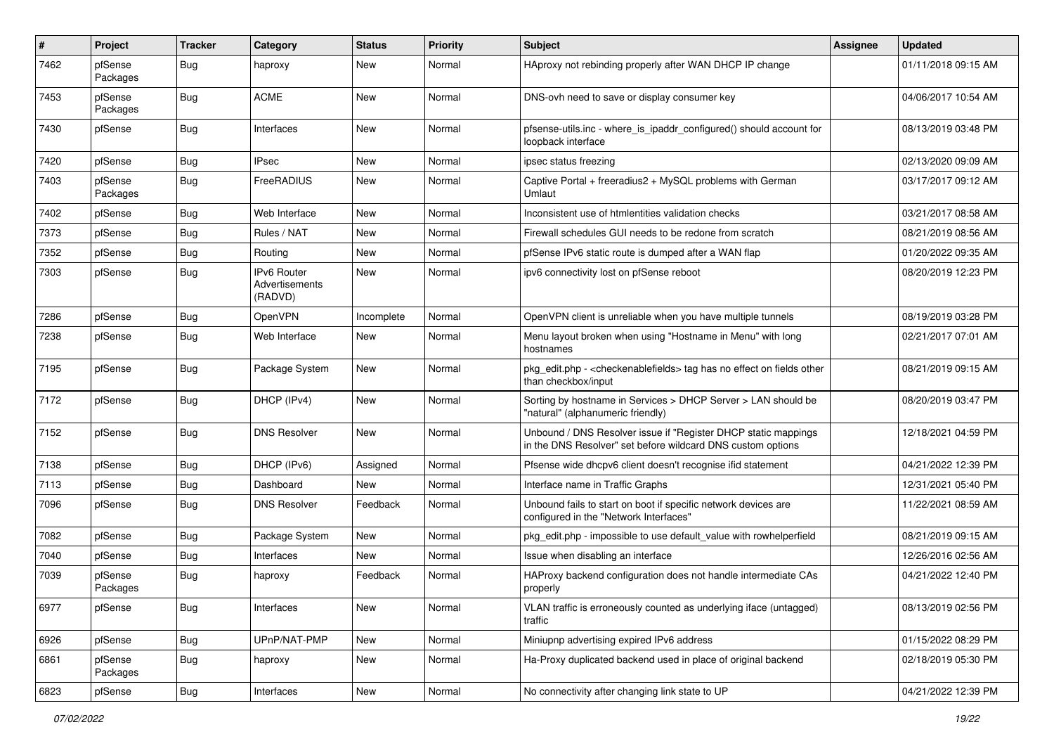| #    | Project             | <b>Tracker</b> | Category                                        | <b>Status</b> | <b>Priority</b> | Subject                                                                                                                       | <b>Assignee</b> | <b>Updated</b>      |
|------|---------------------|----------------|-------------------------------------------------|---------------|-----------------|-------------------------------------------------------------------------------------------------------------------------------|-----------------|---------------------|
| 7462 | pfSense<br>Packages | Bug            | haproxy                                         | <b>New</b>    | Normal          | HAproxy not rebinding properly after WAN DHCP IP change                                                                       |                 | 01/11/2018 09:15 AM |
| 7453 | pfSense<br>Packages | Bug            | <b>ACME</b>                                     | <b>New</b>    | Normal          | DNS-ovh need to save or display consumer key                                                                                  |                 | 04/06/2017 10:54 AM |
| 7430 | pfSense             | <b>Bug</b>     | Interfaces                                      | <b>New</b>    | Normal          | pfsense-utils.inc - where_is_ipaddr_configured() should account for<br>loopback interface                                     |                 | 08/13/2019 03:48 PM |
| 7420 | pfSense             | Bug            | <b>IPsec</b>                                    | <b>New</b>    | Normal          | ipsec status freezing                                                                                                         |                 | 02/13/2020 09:09 AM |
| 7403 | pfSense<br>Packages | <b>Bug</b>     | FreeRADIUS                                      | New           | Normal          | Captive Portal + freeradius2 + MySQL problems with German<br>Umlaut                                                           |                 | 03/17/2017 09:12 AM |
| 7402 | pfSense             | <b>Bug</b>     | Web Interface                                   | <b>New</b>    | Normal          | Inconsistent use of htmlentities validation checks                                                                            |                 | 03/21/2017 08:58 AM |
| 7373 | pfSense             | Bug            | Rules / NAT                                     | <b>New</b>    | Normal          | Firewall schedules GUI needs to be redone from scratch                                                                        |                 | 08/21/2019 08:56 AM |
| 7352 | pfSense             | <b>Bug</b>     | Routing                                         | New           | Normal          | pfSense IPv6 static route is dumped after a WAN flap                                                                          |                 | 01/20/2022 09:35 AM |
| 7303 | pfSense             | <b>Bug</b>     | <b>IPv6 Router</b><br>Advertisements<br>(RADVD) | New           | Normal          | ipv6 connectivity lost on pfSense reboot                                                                                      |                 | 08/20/2019 12:23 PM |
| 7286 | pfSense             | <b>Bug</b>     | OpenVPN                                         | Incomplete    | Normal          | OpenVPN client is unreliable when you have multiple tunnels                                                                   |                 | 08/19/2019 03:28 PM |
| 7238 | pfSense             | <b>Bug</b>     | Web Interface                                   | New           | Normal          | Menu layout broken when using "Hostname in Menu" with long<br>hostnames                                                       |                 | 02/21/2017 07:01 AM |
| 7195 | pfSense             | Bug            | Package System                                  | New           | Normal          | pkg_edit.php - < checkenablefields> tag has no effect on fields other<br>than checkbox/input                                  |                 | 08/21/2019 09:15 AM |
| 7172 | pfSense             | <b>Bug</b>     | DHCP (IPv4)                                     | New           | Normal          | Sorting by hostname in Services > DHCP Server > LAN should be<br>"natural" (alphanumeric friendly)                            |                 | 08/20/2019 03:47 PM |
| 7152 | pfSense             | Bug            | <b>DNS Resolver</b>                             | New           | Normal          | Unbound / DNS Resolver issue if "Register DHCP static mappings<br>in the DNS Resolver" set before wildcard DNS custom options |                 | 12/18/2021 04:59 PM |
| 7138 | pfSense             | Bug            | DHCP (IPv6)                                     | Assigned      | Normal          | Pfsense wide dhcpv6 client doesn't recognise ifid statement                                                                   |                 | 04/21/2022 12:39 PM |
| 7113 | pfSense             | Bug            | Dashboard                                       | New           | Normal          | Interface name in Traffic Graphs                                                                                              |                 | 12/31/2021 05:40 PM |
| 7096 | pfSense             | Bug            | <b>DNS Resolver</b>                             | Feedback      | Normal          | Unbound fails to start on boot if specific network devices are<br>configured in the "Network Interfaces"                      |                 | 11/22/2021 08:59 AM |
| 7082 | pfSense             | <b>Bug</b>     | Package System                                  | <b>New</b>    | Normal          | pkg_edit.php - impossible to use default_value with rowhelperfield                                                            |                 | 08/21/2019 09:15 AM |
| 7040 | pfSense             | Bug            | Interfaces                                      | New           | Normal          | Issue when disabling an interface                                                                                             |                 | 12/26/2016 02:56 AM |
| 7039 | pfSense<br>Packages | <b>Bug</b>     | haproxy                                         | Feedback      | Normal          | HAProxy backend configuration does not handle intermediate CAs<br>properly                                                    |                 | 04/21/2022 12:40 PM |
| 6977 | pfSense             | <b>Bug</b>     | Interfaces                                      | New           | Normal          | VLAN traffic is erroneously counted as underlying iface (untagged)<br>traffic                                                 |                 | 08/13/2019 02:56 PM |
| 6926 | pfSense             | Bug            | UPnP/NAT-PMP                                    | New           | Normal          | Miniupnp advertising expired IPv6 address                                                                                     |                 | 01/15/2022 08:29 PM |
| 6861 | pfSense<br>Packages | <b>Bug</b>     | haproxy                                         | New           | Normal          | Ha-Proxy duplicated backend used in place of original backend                                                                 |                 | 02/18/2019 05:30 PM |
| 6823 | pfSense             | <b>Bug</b>     | Interfaces                                      | New           | Normal          | No connectivity after changing link state to UP                                                                               |                 | 04/21/2022 12:39 PM |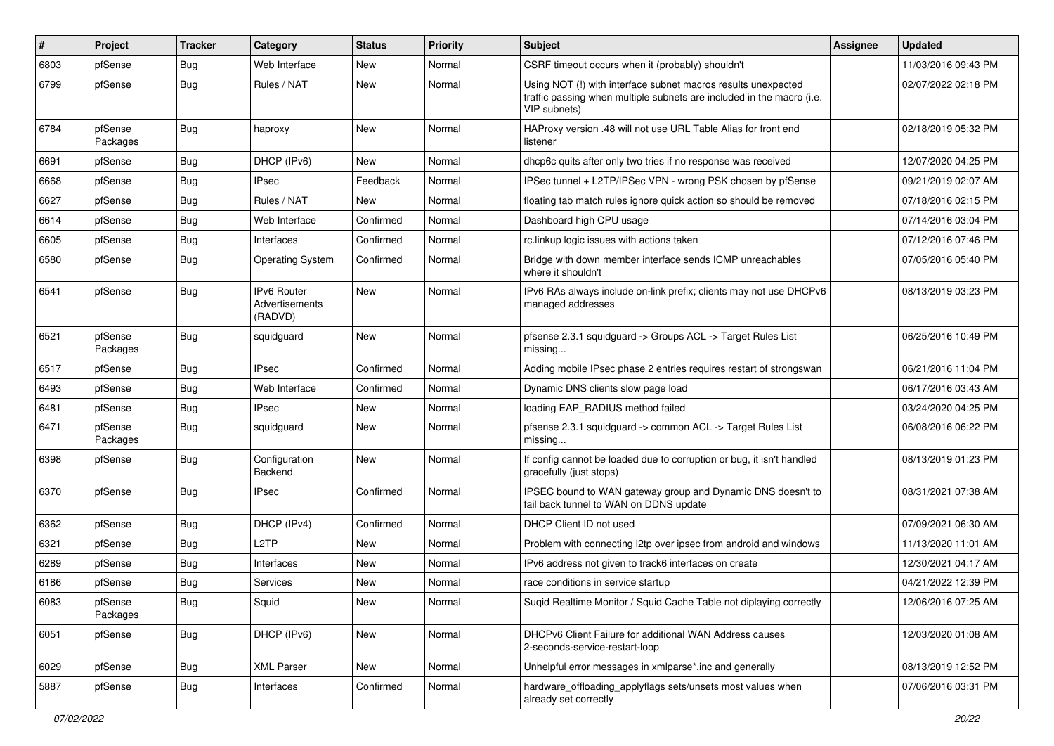| #    | Project             | <b>Tracker</b> | Category                                        | <b>Status</b> | <b>Priority</b> | Subject                                                                                                                                                | <b>Assignee</b> | <b>Updated</b>      |
|------|---------------------|----------------|-------------------------------------------------|---------------|-----------------|--------------------------------------------------------------------------------------------------------------------------------------------------------|-----------------|---------------------|
| 6803 | pfSense             | <b>Bug</b>     | Web Interface                                   | New           | Normal          | CSRF timeout occurs when it (probably) shouldn't                                                                                                       |                 | 11/03/2016 09:43 PM |
| 6799 | pfSense             | Bug            | Rules / NAT                                     | <b>New</b>    | Normal          | Using NOT (!) with interface subnet macros results unexpected<br>traffic passing when multiple subnets are included in the macro (i.e.<br>VIP subnets) |                 | 02/07/2022 02:18 PM |
| 6784 | pfSense<br>Packages | <b>Bug</b>     | haproxy                                         | New           | Normal          | HAProxy version .48 will not use URL Table Alias for front end<br>listener                                                                             |                 | 02/18/2019 05:32 PM |
| 6691 | pfSense             | <b>Bug</b>     | DHCP (IPv6)                                     | New           | Normal          | dhcp6c quits after only two tries if no response was received                                                                                          |                 | 12/07/2020 04:25 PM |
| 6668 | pfSense             | <b>Bug</b>     | <b>IPsec</b>                                    | Feedback      | Normal          | IPSec tunnel + L2TP/IPSec VPN - wrong PSK chosen by pfSense                                                                                            |                 | 09/21/2019 02:07 AM |
| 6627 | pfSense             | <b>Bug</b>     | Rules / NAT                                     | New           | Normal          | floating tab match rules ignore quick action so should be removed                                                                                      |                 | 07/18/2016 02:15 PM |
| 6614 | pfSense             | <b>Bug</b>     | Web Interface                                   | Confirmed     | Normal          | Dashboard high CPU usage                                                                                                                               |                 | 07/14/2016 03:04 PM |
| 6605 | pfSense             | Bug            | Interfaces                                      | Confirmed     | Normal          | rc.linkup logic issues with actions taken                                                                                                              |                 | 07/12/2016 07:46 PM |
| 6580 | pfSense             | Bug            | <b>Operating System</b>                         | Confirmed     | Normal          | Bridge with down member interface sends ICMP unreachables<br>where it shouldn't                                                                        |                 | 07/05/2016 05:40 PM |
| 6541 | pfSense             | Bug            | <b>IPv6 Router</b><br>Advertisements<br>(RADVD) | <b>New</b>    | Normal          | IPv6 RAs always include on-link prefix; clients may not use DHCPv6<br>managed addresses                                                                |                 | 08/13/2019 03:23 PM |
| 6521 | pfSense<br>Packages | Bug            | squidguard                                      | <b>New</b>    | Normal          | pfsense 2.3.1 squidguard -> Groups ACL -> Target Rules List<br>missing                                                                                 |                 | 06/25/2016 10:49 PM |
| 6517 | pfSense             | <b>Bug</b>     | <b>IPsec</b>                                    | Confirmed     | Normal          | Adding mobile IPsec phase 2 entries requires restart of strongswan                                                                                     |                 | 06/21/2016 11:04 PM |
| 6493 | pfSense             | Bug            | Web Interface                                   | Confirmed     | Normal          | Dynamic DNS clients slow page load                                                                                                                     |                 | 06/17/2016 03:43 AM |
| 6481 | pfSense             | <b>Bug</b>     | <b>IPsec</b>                                    | <b>New</b>    | Normal          | loading EAP_RADIUS method failed                                                                                                                       |                 | 03/24/2020 04:25 PM |
| 6471 | pfSense<br>Packages | Bug            | squidguard                                      | New           | Normal          | pfsense 2.3.1 squidguard -> common ACL -> Target Rules List<br>missing                                                                                 |                 | 06/08/2016 06:22 PM |
| 6398 | pfSense             | <b>Bug</b>     | Configuration<br>Backend                        | New           | Normal          | If config cannot be loaded due to corruption or bug, it isn't handled<br>gracefully (just stops)                                                       |                 | 08/13/2019 01:23 PM |
| 6370 | pfSense             | Bug            | <b>IPsec</b>                                    | Confirmed     | Normal          | IPSEC bound to WAN gateway group and Dynamic DNS doesn't to<br>fail back tunnel to WAN on DDNS update                                                  |                 | 08/31/2021 07:38 AM |
| 6362 | pfSense             | <b>Bug</b>     | DHCP (IPv4)                                     | Confirmed     | Normal          | DHCP Client ID not used                                                                                                                                |                 | 07/09/2021 06:30 AM |
| 6321 | pfSense             | <b>Bug</b>     | L <sub>2</sub> TP                               | <b>New</b>    | Normal          | Problem with connecting I2tp over ipsec from android and windows                                                                                       |                 | 11/13/2020 11:01 AM |
| 6289 | pfSense             | Bug            | Interfaces                                      | New           | Normal          | IPv6 address not given to track6 interfaces on create                                                                                                  |                 | 12/30/2021 04:17 AM |
| 6186 | pfSense             | Bug            | <b>Services</b>                                 | <b>New</b>    | Normal          | race conditions in service startup                                                                                                                     |                 | 04/21/2022 12:39 PM |
| 6083 | pfSense<br>Packages | <b>Bug</b>     | Squid                                           | New           | Normal          | Suqid Realtime Monitor / Squid Cache Table not diplaying correctly                                                                                     |                 | 12/06/2016 07:25 AM |
| 6051 | pfSense             | <b>Bug</b>     | DHCP (IPv6)                                     | New           | Normal          | DHCPv6 Client Failure for additional WAN Address causes<br>2-seconds-service-restart-loop                                                              |                 | 12/03/2020 01:08 AM |
| 6029 | pfSense             | Bug            | <b>XML Parser</b>                               | New           | Normal          | Unhelpful error messages in xmlparse*.inc and generally                                                                                                |                 | 08/13/2019 12:52 PM |
| 5887 | pfSense             | <b>Bug</b>     | Interfaces                                      | Confirmed     | Normal          | hardware_offloading_applyflags sets/unsets most values when<br>already set correctly                                                                   |                 | 07/06/2016 03:31 PM |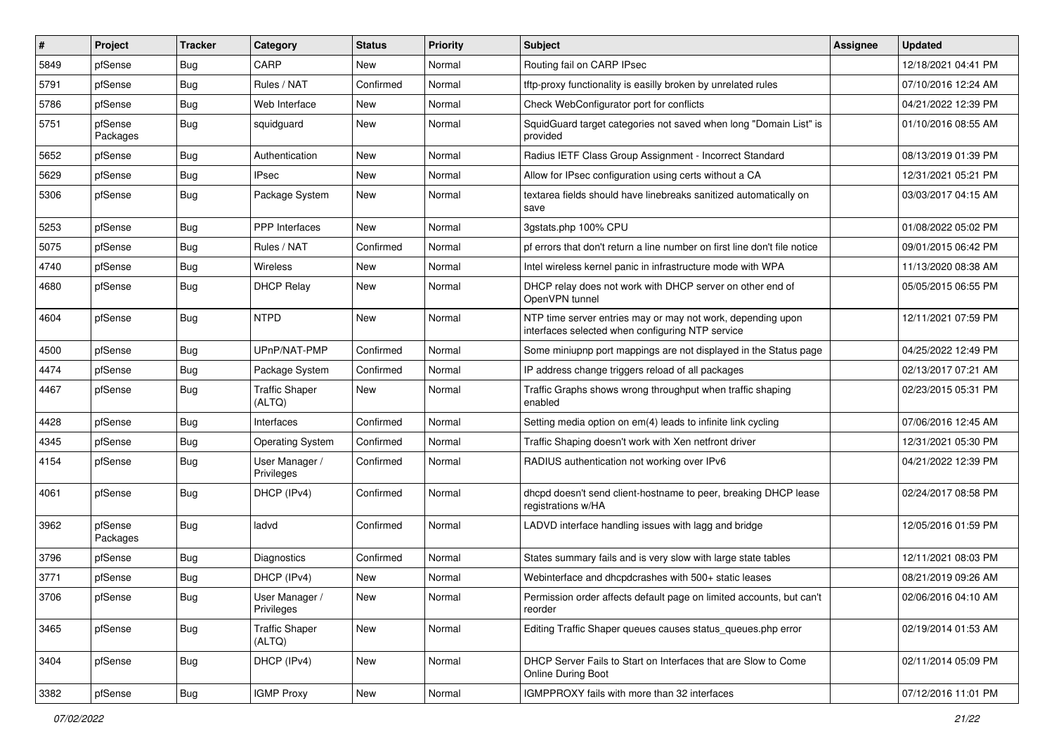| #    | Project             | <b>Tracker</b> | Category                        | <b>Status</b> | <b>Priority</b> | Subject                                                                                                         | <b>Assignee</b> | <b>Updated</b>      |
|------|---------------------|----------------|---------------------------------|---------------|-----------------|-----------------------------------------------------------------------------------------------------------------|-----------------|---------------------|
| 5849 | pfSense             | <b>Bug</b>     | CARP                            | New           | Normal          | Routing fail on CARP IPsec                                                                                      |                 | 12/18/2021 04:41 PM |
| 5791 | pfSense             | <b>Bug</b>     | Rules / NAT                     | Confirmed     | Normal          | tftp-proxy functionality is easilly broken by unrelated rules                                                   |                 | 07/10/2016 12:24 AM |
| 5786 | pfSense             | Bug            | Web Interface                   | New           | Normal          | Check WebConfigurator port for conflicts                                                                        |                 | 04/21/2022 12:39 PM |
| 5751 | pfSense<br>Packages | <b>Bug</b>     | squidguard                      | <b>New</b>    | Normal          | SquidGuard target categories not saved when long "Domain List" is<br>provided                                   |                 | 01/10/2016 08:55 AM |
| 5652 | pfSense             | <b>Bug</b>     | Authentication                  | New           | Normal          | Radius IETF Class Group Assignment - Incorrect Standard                                                         |                 | 08/13/2019 01:39 PM |
| 5629 | pfSense             | <b>Bug</b>     | <b>IPsec</b>                    | New           | Normal          | Allow for IPsec configuration using certs without a CA                                                          |                 | 12/31/2021 05:21 PM |
| 5306 | pfSense             | Bug            | Package System                  | <b>New</b>    | Normal          | textarea fields should have linebreaks sanitized automatically on<br>save                                       |                 | 03/03/2017 04:15 AM |
| 5253 | pfSense             | <b>Bug</b>     | PPP Interfaces                  | <b>New</b>    | Normal          | 3gstats.php 100% CPU                                                                                            |                 | 01/08/2022 05:02 PM |
| 5075 | pfSense             | Bug            | Rules / NAT                     | Confirmed     | Normal          | pf errors that don't return a line number on first line don't file notice                                       |                 | 09/01/2015 06:42 PM |
| 4740 | pfSense             | <b>Bug</b>     | <b>Wireless</b>                 | New           | Normal          | Intel wireless kernel panic in infrastructure mode with WPA                                                     |                 | 11/13/2020 08:38 AM |
| 4680 | pfSense             | <b>Bug</b>     | <b>DHCP Relay</b>               | New           | Normal          | DHCP relay does not work with DHCP server on other end of<br>OpenVPN tunnel                                     |                 | 05/05/2015 06:55 PM |
| 4604 | pfSense             | Bug            | <b>NTPD</b>                     | New           | Normal          | NTP time server entries may or may not work, depending upon<br>interfaces selected when configuring NTP service |                 | 12/11/2021 07:59 PM |
| 4500 | pfSense             | Bug            | UPnP/NAT-PMP                    | Confirmed     | Normal          | Some miniupnp port mappings are not displayed in the Status page                                                |                 | 04/25/2022 12:49 PM |
| 4474 | pfSense             | <b>Bug</b>     | Package System                  | Confirmed     | Normal          | IP address change triggers reload of all packages                                                               |                 | 02/13/2017 07:21 AM |
| 4467 | pfSense             | Bug            | <b>Traffic Shaper</b><br>(ALTQ) | New           | Normal          | Traffic Graphs shows wrong throughput when traffic shaping<br>enabled                                           |                 | 02/23/2015 05:31 PM |
| 4428 | pfSense             | <b>Bug</b>     | Interfaces                      | Confirmed     | Normal          | Setting media option on em(4) leads to infinite link cycling                                                    |                 | 07/06/2016 12:45 AM |
| 4345 | pfSense             | <b>Bug</b>     | <b>Operating System</b>         | Confirmed     | Normal          | Traffic Shaping doesn't work with Xen netfront driver                                                           |                 | 12/31/2021 05:30 PM |
| 4154 | pfSense             | Bug            | User Manager /<br>Privileges    | Confirmed     | Normal          | RADIUS authentication not working over IPv6                                                                     |                 | 04/21/2022 12:39 PM |
| 4061 | pfSense             | <b>Bug</b>     | DHCP (IPv4)                     | Confirmed     | Normal          | dhcpd doesn't send client-hostname to peer, breaking DHCP lease<br>registrations w/HA                           |                 | 02/24/2017 08:58 PM |
| 3962 | pfSense<br>Packages | <b>Bug</b>     | ladvd                           | Confirmed     | Normal          | LADVD interface handling issues with lagg and bridge                                                            |                 | 12/05/2016 01:59 PM |
| 3796 | pfSense             | <b>Bug</b>     | Diagnostics                     | Confirmed     | Normal          | States summary fails and is very slow with large state tables                                                   |                 | 12/11/2021 08:03 PM |
| 3771 | pfSense             | Bug            | DHCP (IPv4)                     | New           | Normal          | Webinterface and dhcpdcrashes with 500+ static leases                                                           |                 | 08/21/2019 09:26 AM |
| 3706 | pfSense             | <b>Bug</b>     | User Manager /<br>Privileges    | <b>New</b>    | Normal          | Permission order affects default page on limited accounts, but can't<br>reorder                                 |                 | 02/06/2016 04:10 AM |
| 3465 | pfSense             | <b>Bug</b>     | <b>Traffic Shaper</b><br>(ALTQ) | New           | Normal          | Editing Traffic Shaper queues causes status queues.php error                                                    |                 | 02/19/2014 01:53 AM |
| 3404 | pfSense             | Bug            | DHCP (IPv4)                     | New           | Normal          | DHCP Server Fails to Start on Interfaces that are Slow to Come<br><b>Online During Boot</b>                     |                 | 02/11/2014 05:09 PM |
| 3382 | pfSense             | <b>Bug</b>     | <b>IGMP Proxy</b>               | New           | Normal          | IGMPPROXY fails with more than 32 interfaces                                                                    |                 | 07/12/2016 11:01 PM |